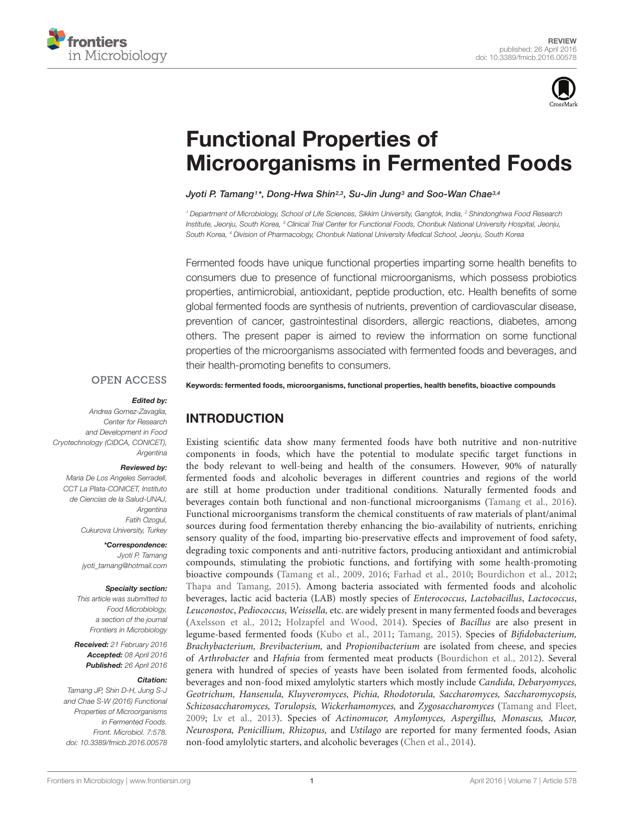



# Functional Properties of [Microorganisms in Fermented Foods](http://journal.frontiersin.org/article/10.3389/fmicb.2016.00578/abstract)

[Jyoti P. Tamang](http://loop.frontiersin.org/people/24652/overview)1\*, [Dong-Hwa Shin](http://loop.frontiersin.org/people/298715/overview)<sup>2,3</sup>, [Su-Jin Jung](http://loop.frontiersin.org/people/314703/overview)<sup>3</sup> and [Soo-Wan Chae](http://loop.frontiersin.org/people/314723/overview)<sup>3,4</sup>

<sup>1</sup> Department of Microbiology, School of Life Sciences, Sikkim University, Gangtok, India, <sup>2</sup> Shindonghwa Food Research Institute, Jeonju, South Korea, <sup>3</sup> Clinical Trial Center for Functional Foods, Chonbuk National University Hospital, Jeonju, South Korea, <sup>4</sup> Division of Pharmacology, Chonbuk National University Medical School, Jeonju, South Korea

Fermented foods have unique functional properties imparting some health benefits to consumers due to presence of functional microorganisms, which possess probiotics properties, antimicrobial, antioxidant, peptide production, etc. Health benefits of some global fermented foods are synthesis of nutrients, prevention of cardiovascular disease, prevention of cancer, gastrointestinal disorders, allergic reactions, diabetes, among others. The present paper is aimed to review the information on some functional properties of the microorganisms associated with fermented foods and beverages, and their health-promoting benefits to consumers.

#### **OPEN ACCESS**

#### Edited by:

Andrea Gomez-Zavaglia, Center for Research and Development in Food Cryotechnology (CIDCA, CONICET), Argentina

#### Reviewed by:

Maria De Los Angeles Serradell, CCT La Plata-CONICET, Instituto de Ciencias de la Salud-UNAJ, Argentina Fatih Ozogul, Cukurova University, Turkey

> \*Correspondence: Jyoti P. Tamang jyoti\_tamang@hotmail.com

#### Specialty section:

This article was submitted to Food Microbiology, a section of the journal Frontiers in Microbiology

Received: 21 February 2016 Accepted: 08 April 2016 Published: 26 April 2016

#### Citation:

Tamang JP, Shin D-H, Jung S-J and Chae S-W (2016) Functional Properties of Microorganisms in Fermented Foods. Front. Microbiol. 7:578. doi: [10.3389/fmicb.2016.00578](http://dx.doi.org/10.3389/fmicb.2016.00578)

Keywords: fermented foods, microorganisms, functional properties, health benefits, bioactive compounds

# INTRODUCTION

Existing scientific data show many fermented foods have both nutritive and non-nutritive components in foods, which have the potential to modulate specific target functions in the body relevant to well-being and health of the consumers. However, 90% of naturally fermented foods and alcoholic beverages in different countries and regions of the world are still at home production under traditional conditions. Naturally fermented foods and beverages contain both functional and non-functional microorganisms [\(Tamang et al., 2016\)](#page-11-0). Functional microorganisms transform the chemical constituents of raw materials of plant/animal sources during food fermentation thereby enhancing the bio-availability of nutrients, enriching sensory quality of the food, imparting bio-preservative effects and improvement of food safety, degrading toxic components and anti-nutritive factors, producing antioxidant and antimicrobial compounds, stimulating the probiotic functions, and fortifying with some health-promoting bioactive compounds [\(Tamang et al., 2009,](#page-11-1) [2016;](#page-11-0) [Farhad et al., 2010;](#page-8-0) [Bourdichon et al., 2012;](#page-7-0) [Thapa and Tamang, 2015\)](#page-11-2). Among bacteria associated with fermented foods and alcoholic beverages, lactic acid bacteria (LAB) mostly species of Enterococcus, Lactobacillus, Lactococcus, Leuconostoc, Pediococcus, Weissella, etc. are widely present in many fermented foods and beverages [\(Axelsson et al., 2012;](#page-7-1) [Holzapfel and Wood, 2014\)](#page-8-1). Species of Bacillus are also present in legume-based fermented foods [\(Kubo et al., 2011;](#page-9-0) [Tamang, 2015\)](#page-11-3). Species of Bifidobacterium, Brachybacterium, Brevibacterium, and Propionibacterium are isolated from cheese, and species of Arthrobacter and Hafnia from fermented meat products [\(Bourdichon et al., 2012\)](#page-7-0). Several genera with hundred of species of yeasts have been isolated from fermented foods, alcoholic beverages and non-food mixed amylolytic starters which mostly include Candida, Debaryomyces, Geotrichum, Hansenula, Kluyveromyces, Pichia, Rhodotorula, Saccharomyces, Saccharomycopsis, Schizosaccharomyces, Torulopsis, Wickerhamomyces, and Zygosaccharomyces [\(Tamang and Fleet,](#page-11-4) [2009;](#page-11-4) [Lv et al., 2013\)](#page-9-1). Species of Actinomucor, Amylomyces, Aspergillus, Monascus, Mucor, Neurospora, Penicillium, Rhizopus, and Ustilago are reported for many fermented foods, Asian non-food amylolytic starters, and alcoholic beverages [\(Chen et al., 2014\)](#page-8-2).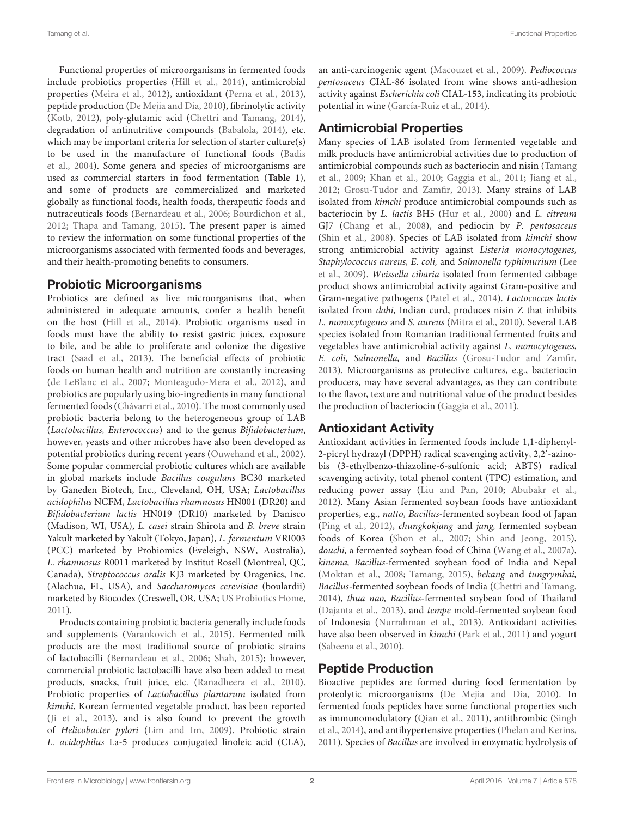Functional properties of microorganisms in fermented foods include probiotics properties [\(Hill et al.,](#page-8-3) [2014\)](#page-8-3), antimicrobial properties [\(Meira et al.,](#page-9-2) [2012\)](#page-9-2), antioxidant [\(Perna et al.,](#page-10-0) [2013\)](#page-10-0), peptide production [\(De Mejia and Dia,](#page-8-4) [2010\)](#page-8-4), fibrinolytic activity [\(Kotb,](#page-9-3) [2012\)](#page-9-3), poly-glutamic acid [\(Chettri and Tamang,](#page-8-5) [2014\)](#page-8-5), degradation of antinutritive compounds [\(Babalola,](#page-7-2) [2014\)](#page-7-2), etc. which may be important criteria for selection of starter culture(s) to be used in the manufacture of functional foods [\(Badis](#page-7-3) [et al.,](#page-7-3) [2004\)](#page-7-3). Some genera and species of microorganisms are used as commercial starters in food fermentation (**[Table 1](#page-2-0)**), and some of products are commercialized and marketed globally as functional foods, health foods, therapeutic foods and nutraceuticals foods [\(Bernardeau et al.,](#page-7-4) [2006;](#page-7-4) [Bourdichon et al.,](#page-7-0) [2012;](#page-7-0) [Thapa and Tamang,](#page-11-2) [2015\)](#page-11-2). The present paper is aimed to review the information on some functional properties of the microorganisms associated with fermented foods and beverages, and their health-promoting benefits to consumers.

#### Probiotic Microorganisms

Probiotics are defined as live microorganisms that, when administered in adequate amounts, confer a health benefit on the host [\(Hill et al.,](#page-8-3) [2014\)](#page-8-3). Probiotic organisms used in foods must have the ability to resist gastric juices, exposure to bile, and be able to proliferate and colonize the digestive tract [\(Saad et al.,](#page-11-5) [2013\)](#page-11-5). The beneficial effects of probiotic foods on human health and nutrition are constantly increasing [\(de LeBlanc et al.,](#page-8-6) [2007;](#page-8-6) [Monteagudo-Mera et al.,](#page-10-1) [2012\)](#page-10-1), and probiotics are popularly using bio-ingredients in many functional fermented foods [\(Chávarri et al.,](#page-8-7) [2010\)](#page-8-7). The most commonly used probiotic bacteria belong to the heterogeneous group of LAB (Lactobacillus, Enterococcus) and to the genus Bifidobacterium, however, yeasts and other microbes have also been developed as potential probiotics during recent years [\(Ouwehand et al.,](#page-10-2) [2002\)](#page-10-2). Some popular commercial probiotic cultures which are available in global markets include Bacillus coagulans BC30 marketed by Ganeden Biotech, Inc., Cleveland, OH, USA; Lactobacillus acidophilus NCFM, Lactobacillus rhamnosus HN001 (DR20) and Bifidobacterium lactis HN019 (DR10) marketed by Danisco (Madison, WI, USA), L. casei strain Shirota and B. breve strain Yakult marketed by Yakult (Tokyo, Japan), L. fermentum VRI003 (PCC) marketed by Probiomics (Eveleigh, NSW, Australia), L. rhamnosus R0011 marketed by Institut Rosell (Montreal, QC, Canada), Streptococcus oralis KJ3 marketed by Oragenics, Inc. (Alachua, FL, USA), and Saccharomyces cerevisiae (boulardii) marketed by Biocodex (Creswell, OR, USA; [US Probiotics Home,](#page-11-6) [2011\)](#page-11-6).

Products containing probiotic bacteria generally include foods and supplements [\(Varankovich et al.,](#page-11-7) [2015\)](#page-11-7). Fermented milk products are the most traditional source of probiotic strains of lactobacilli [\(Bernardeau et al.,](#page-7-4) [2006;](#page-7-4) [Shah,](#page-11-8) [2015\)](#page-11-8); however, commercial probiotic lactobacilli have also been added to meat products, snacks, fruit juice, etc. [\(Ranadheera et al.,](#page-10-3) [2010\)](#page-10-3). Probiotic properties of Lactobacillus plantarum isolated from kimchi, Korean fermented vegetable product, has been reported [\(Ji et al.,](#page-8-8) [2013\)](#page-8-8), and is also found to prevent the growth of Helicobacter pylori [\(Lim and Im,](#page-9-4) [2009\)](#page-9-4). Probiotic strain L. acidophilus La-5 produces conjugated linoleic acid (CLA), an anti-carcinogenic agent [\(Macouzet et al.,](#page-9-5) [2009\)](#page-9-5). Pediococcus pentosaceus CIAL-86 isolated from wine shows anti-adhesion activity against Escherichia coli CIAL-153, indicating its probiotic potential in wine [\(García-Ruiz et al.,](#page-8-9) [2014\)](#page-8-9).

# Antimicrobial Properties

Many species of LAB isolated from fermented vegetable and milk products have antimicrobial activities due to production of antimicrobial compounds such as bacteriocin and nisin [\(Tamang](#page-11-1) [et al.,](#page-11-1) [2009;](#page-11-1) [Khan et al.,](#page-9-6) [2010;](#page-9-6) [Gaggia et al.,](#page-8-10) [2011;](#page-8-10) [Jiang et al.,](#page-8-11) [2012;](#page-8-11) [Grosu-Tudor and Zamfir,](#page-8-12) [2013\)](#page-8-12). Many strains of LAB isolated from kimchi produce antimicrobial compounds such as bacteriocin by L. lactis BH5 [\(Hur et al.,](#page-8-13) [2000\)](#page-8-13) and L. citreum GJ7 [\(Chang et al.,](#page-7-5) [2008\)](#page-7-5), and pediocin by P. pentosaceus [\(Shin et al.,](#page-11-9) [2008\)](#page-11-9). Species of LAB isolated from kimchi show strong antimicrobial activity against Listeria monocytogenes, Staphylococcus aureus, E. coli, and Salmonella typhimurium [\(Lee](#page-9-7) [et al.,](#page-9-7) [2009\)](#page-9-7). Weissella cibaria isolated from fermented cabbage product shows antimicrobial activity against Gram-positive and Gram-negative pathogens [\(Patel et al.,](#page-10-4) [2014\)](#page-10-4). Lactococcus lactis isolated from dahi, Indian curd, produces nisin Z that inhibits L. monocytogenes and S. aureus [\(Mitra et al.,](#page-9-8) [2010\)](#page-9-8). Several LAB species isolated from Romanian traditional fermented fruits and vegetables have antimicrobial activity against L. monocytogenes, E. coli, Salmonella, and Bacillus [\(Grosu-Tudor and Zamfir,](#page-8-12) [2013\)](#page-8-12). Microorganisms as protective cultures, e.g., bacteriocin producers, may have several advantages, as they can contribute to the flavor, texture and nutritional value of the product besides the production of bacteriocin [\(Gaggia et al.,](#page-8-10) [2011\)](#page-8-10).

### Antioxidant Activity

Antioxidant activities in fermented foods include 1,1-diphenyl-2-picryl hydrazyl (DPPH) radical scavenging activity, 2,2'-azinobis (3-ethylbenzo-thiazoline-6-sulfonic acid; ABTS) radical scavenging activity, total phenol content (TPC) estimation, and reducing power assay [\(Liu and Pan,](#page-9-9) [2010;](#page-9-9) [Abubakr et al.,](#page-7-6) [2012\)](#page-7-6). Many Asian fermented soybean foods have antioxidant properties, e.g., natto, Bacillus-fermented soybean food of Japan [\(Ping et al.,](#page-10-5) [2012\)](#page-10-5), chungkokjang and jang, fermented soybean foods of Korea [\(Shon et al.,](#page-11-10) [2007;](#page-11-10) [Shin and Jeong,](#page-11-11) [2015\)](#page-11-11), douchi, a fermented soybean food of China [\(Wang et al.,](#page-11-12) [2007a\)](#page-11-12), kinema, Bacillus-fermented soybean food of India and Nepal [\(Moktan et al.,](#page-10-6) [2008;](#page-10-6) [Tamang,](#page-11-3) [2015\)](#page-11-3), bekang and tungrymbai, Bacillus-fermented soybean foods of India [\(Chettri and Tamang,](#page-8-5) [2014\)](#page-8-5), thua nao, Bacillus-fermented soybean food of Thailand [\(Dajanta et al.,](#page-8-14) [2013\)](#page-8-14), and tempe mold-fermented soybean food of Indonesia [\(Nurrahman et al.,](#page-10-7) [2013\)](#page-10-7). Antioxidant activities have also been observed in kimchi [\(Park et al.,](#page-10-8) [2011\)](#page-10-8) and yogurt [\(Sabeena et al.,](#page-11-13) [2010\)](#page-11-13).

### Peptide Production

Bioactive peptides are formed during food fermentation by proteolytic microorganisms [\(De Mejia and Dia,](#page-8-4) [2010\)](#page-8-4). In fermented foods peptides have some functional properties such as immunomodulatory [\(Qian et al.,](#page-10-9) [2011\)](#page-10-9), antithrombic [\(Singh](#page-11-14) [et al.,](#page-11-14) [2014\)](#page-11-14), and antihypertensive properties [\(Phelan and Kerins,](#page-10-10) [2011\)](#page-10-10). Species of Bacillus are involved in enzymatic hydrolysis of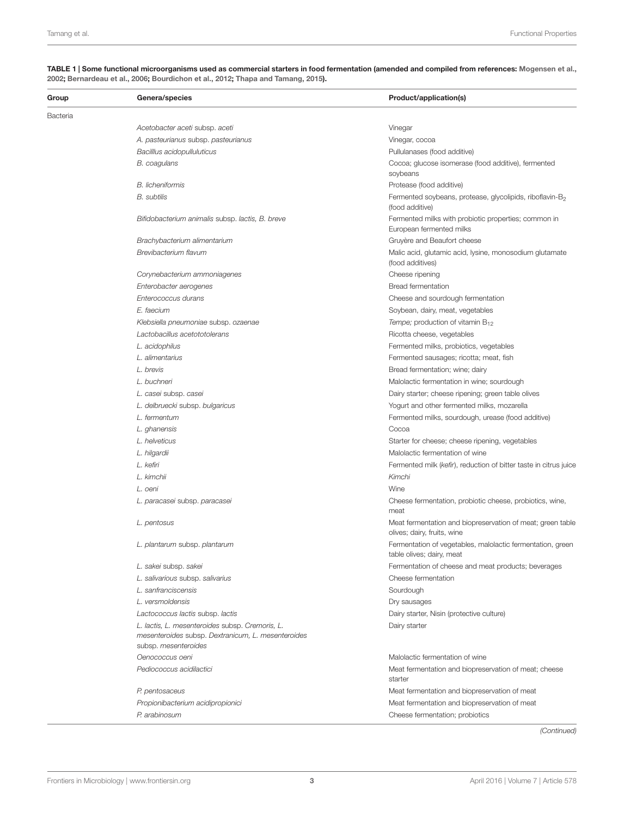| Group    | Genera/species                                                                                                                | Product/application(s)                                                                    |
|----------|-------------------------------------------------------------------------------------------------------------------------------|-------------------------------------------------------------------------------------------|
| Bacteria |                                                                                                                               |                                                                                           |
|          | Acetobacter aceti subsp. aceti                                                                                                | Vinegar                                                                                   |
|          | A. pasteurianus subsp. pasteurianus                                                                                           | Vinegar, cocoa                                                                            |
|          | Bacilllus acidopulluluticus                                                                                                   | Pullulanases (food additive)                                                              |
|          | B. coagulans                                                                                                                  | Cocoa; glucose isomerase (food additive), fermented<br>soybeans                           |
|          | <b>B.</b> licheniformis                                                                                                       | Protease (food additive)                                                                  |
|          | <b>B.</b> subtilis                                                                                                            | Fermented soybeans, protease, glycolipids, riboflavin-B <sub>2</sub><br>(food additive)   |
|          | Bifidobacterium animalis subsp. lactis, B. breve                                                                              | Fermented milks with probiotic properties; common in<br>European fermented milks          |
|          | Brachybacterium alimentarium                                                                                                  | Gruyère and Beaufort cheese                                                               |
|          | Brevibacterium flavum                                                                                                         | Malic acid, glutamic acid, lysine, monosodium glutamate<br>(food additives)               |
|          | Corynebacterium ammoniagenes                                                                                                  | Cheese ripening                                                                           |
|          | Enterobacter aerogenes                                                                                                        | <b>Bread fermentation</b>                                                                 |
|          | Enterococcus durans                                                                                                           | Cheese and sourdough fermentation                                                         |
|          | E. faecium                                                                                                                    | Soybean, dairy, meat, vegetables                                                          |
|          | Klebsiella pneumoniae subsp. ozaenae                                                                                          | Tempe; production of vitamin $B_{12}$                                                     |
|          | Lactobacillus acetototolerans                                                                                                 | Ricotta cheese, vegetables                                                                |
|          | L. acidophilus                                                                                                                | Fermented milks, probiotics, vegetables                                                   |
|          | L. alimentarius                                                                                                               | Fermented sausages; ricotta; meat, fish                                                   |
|          | L. brevis                                                                                                                     | Bread fermentation; wine; dairy                                                           |
|          | L. buchneri                                                                                                                   | Malolactic fermentation in wine; sourdough                                                |
|          | L. casei subsp. casei                                                                                                         | Dairy starter; cheese ripening; green table olives                                        |
|          | L. delbruecki subsp. bulgaricus                                                                                               | Yogurt and other fermented milks, mozarella                                               |
|          | L. fermentum                                                                                                                  | Fermented milks, sourdough, urease (food additive)                                        |
|          | L. ghanensis                                                                                                                  | Cocoa                                                                                     |
|          | L. helveticus                                                                                                                 | Starter for cheese; cheese ripening, vegetables                                           |
|          | L. hilgardii                                                                                                                  | Malolactic fermentation of wine                                                           |
|          | L. kefiri                                                                                                                     | Fermented milk (kefir), reduction of bitter taste in citrus juice                         |
|          | L. kimchii                                                                                                                    | Kimchi                                                                                    |
|          | L. oeni                                                                                                                       | Wine                                                                                      |
|          | L. paracasei subsp. paracasei                                                                                                 | Cheese fermentation, probiotic cheese, probiotics, wine,<br>meat                          |
|          | L. pentosus                                                                                                                   | Meat fermentation and biopreservation of meat; green table<br>olives; dairy, fruits, wine |
|          | L. plantarum subsp. plantarum                                                                                                 | Fermentation of vegetables, malolactic fermentation, green<br>table olives; dairy, meat   |
|          | L. sakei subsp. sakei                                                                                                         | Fermentation of cheese and meat products; beverages                                       |
|          | L. salivarious subsp. salivarius                                                                                              | Cheese fermentation                                                                       |
|          | L. sanfranciscensis                                                                                                           | Sourdough                                                                                 |
|          | L. versmoldensis                                                                                                              | Dry sausages                                                                              |
|          | Lactococcus lactis subsp. lactis                                                                                              | Dairy starter, Nisin (protective culture)                                                 |
|          | L. lactis, L. mesenteroides subsp. Cremoris, L.<br>mesenteroides subsp. Dextranicum, L. mesenteroides<br>subsp. mesenteroides | Dairy starter                                                                             |
|          | Oenococcus oeni                                                                                                               | Malolactic fermentation of wine                                                           |
|          | Pediococcus acidilactici                                                                                                      | Meat fermentation and biopreservation of meat; cheese<br>starter                          |
|          | P. pentosaceus                                                                                                                | Meat fermentation and biopreservation of meat                                             |
|          | Propionibacterium acidipropionici                                                                                             | Meat fermentation and biopreservation of meat                                             |
|          | P. arabinosum                                                                                                                 | Cheese fermentation; probiotics                                                           |
|          |                                                                                                                               | (Continued)                                                                               |

#### <span id="page-2-0"></span>TABLE 1 | Some functional microorganisms used as commercial starters in food fermentation (amended and compiled from references: [Mogensen et al.,](#page-9-10) [2002;](#page-9-10) [Bernardeau et al.,](#page-7-4) [2006;](#page-7-4) [Bourdichon et al.,](#page-7-0) [2012;](#page-7-0) [Thapa and Tamang,](#page-11-2) [2015\)](#page-11-2).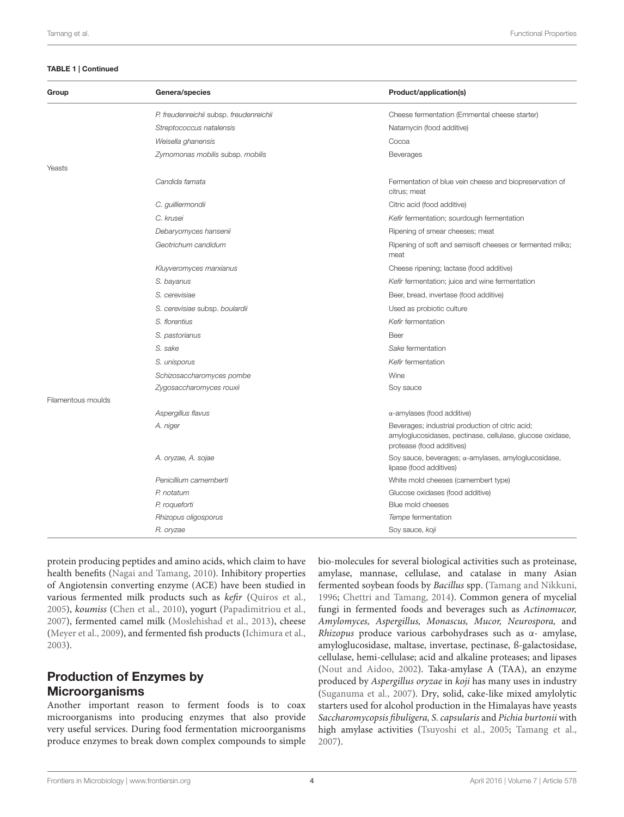#### TABLE 1 | Continued

| Group              | Genera/species                          | Product/application(s)                                                                                                                     |  |
|--------------------|-----------------------------------------|--------------------------------------------------------------------------------------------------------------------------------------------|--|
|                    | P. freudenreichii subsp. freudenreichii | Cheese fermentation (Emmental cheese starter)                                                                                              |  |
|                    | Streptococcus natalensis                | Natamycin (food additive)                                                                                                                  |  |
|                    | Weisella ghanensis                      | Cocoa                                                                                                                                      |  |
|                    | Zymomonas mobilis subsp. mobilis        | Beverages                                                                                                                                  |  |
| Yeasts             |                                         |                                                                                                                                            |  |
|                    | Candida famata                          | Fermentation of blue vein cheese and biopreservation of<br>citrus; meat                                                                    |  |
|                    | C. guilliermondii                       | Citric acid (food additive)                                                                                                                |  |
|                    | C. krusei                               | Kefir fermentation; sourdough fermentation                                                                                                 |  |
|                    | Debaryomyces hansenii                   | Ripening of smear cheeses; meat                                                                                                            |  |
|                    | Geotrichum candidum                     | Ripening of soft and semisoft cheeses or fermented milks;<br>meat                                                                          |  |
|                    | Kluyveromyces marxianus                 | Cheese ripening; lactase (food additive)                                                                                                   |  |
|                    | S. bayanus                              | Kefir fermentation; juice and wine fermentation                                                                                            |  |
|                    | S. cerevisiae                           | Beer, bread, invertase (food additive)                                                                                                     |  |
|                    | S. cerevisiae subsp. boulardii          | Used as probiotic culture                                                                                                                  |  |
|                    | S. florentius                           | Kefir fermentation                                                                                                                         |  |
|                    | S. pastorianus                          | Beer                                                                                                                                       |  |
|                    | S. sake                                 | Sake fermentation                                                                                                                          |  |
|                    | S. unisporus                            | Kefir fermentation                                                                                                                         |  |
|                    | Schizosaccharomyces pombe               | Wine                                                                                                                                       |  |
|                    | Zygosaccharomyces rouxii                | Soy sauce                                                                                                                                  |  |
| Filamentous moulds |                                         |                                                                                                                                            |  |
|                    | Aspergillus flavus                      | $\alpha$ -amylases (food additive)                                                                                                         |  |
|                    | A. niger                                | Beverages; industrial production of citric acid;<br>amyloglucosidases, pectinase, cellulase, glucose oxidase,<br>protease (food additives) |  |
|                    | A. oryzae, A. sojae                     | Soy sauce, beverages; a-amylases, amyloglucosidase,<br>lipase (food additives)                                                             |  |
|                    | Penicillium camemberti                  | White mold cheeses (camembert type)                                                                                                        |  |
|                    | P. notatum                              | Glucose oxidases (food additive)                                                                                                           |  |
|                    | P. roqueforti                           | Blue mold cheeses                                                                                                                          |  |
|                    | Rhizopus oligosporus                    | Tempe fermentation                                                                                                                         |  |
|                    | R. oryzae                               | Soy sauce, koji                                                                                                                            |  |

protein producing peptides and amino acids, which claim to have health benefits [\(Nagai and Tamang,](#page-10-11) [2010\)](#page-10-11). Inhibitory properties of Angiotensin converting enzyme (ACE) have been studied in various fermented milk products such as kefir [\(Quiros et al.,](#page-10-12) [2005\)](#page-10-12), koumiss [\(Chen et al.,](#page-8-15) [2010\)](#page-8-15), yogurt [\(Papadimitriou et al.,](#page-10-13) [2007\)](#page-10-13), fermented camel milk [\(Moslehishad et al.,](#page-10-14) [2013\)](#page-10-14), cheese [\(Meyer et al.,](#page-9-11) [2009\)](#page-9-11), and fermented fish products [\(Ichimura et al.,](#page-8-16) [2003\)](#page-8-16).

# Production of Enzymes by Microorganisms

Another important reason to ferment foods is to coax microorganisms into producing enzymes that also provide very useful services. During food fermentation microorganisms produce enzymes to break down complex compounds to simple bio-molecules for several biological activities such as proteinase, amylase, mannase, cellulase, and catalase in many Asian fermented soybean foods by Bacillus spp. [\(Tamang and Nikkuni,](#page-11-15) [1996;](#page-11-15) [Chettri and Tamang,](#page-8-5) [2014\)](#page-8-5). Common genera of mycelial fungi in fermented foods and beverages such as Actinomucor, Amylomyces, Aspergillus, Monascus, Mucor, Neurospora, and Rhizopus produce various carbohydrases such as α- amylase, amyloglucosidase, maltase, invertase, pectinase, ß-galactosidase, cellulase, hemi-cellulase; acid and alkaline proteases; and lipases [\(Nout and Aidoo,](#page-10-15) [2002\)](#page-10-15). Taka-amylase A (TAA), an enzyme produced by Aspergillus oryzae in koji has many uses in industry [\(Suganuma et al.,](#page-11-16) [2007\)](#page-11-16). Dry, solid, cake-like mixed amylolytic starters used for alcohol production in the Himalayas have yeasts Saccharomycopsis fibuligera, S. capsularis and Pichia burtonii with high amylase activities [\(Tsuyoshi et al.,](#page-11-17) [2005;](#page-11-17) [Tamang et al.,](#page-11-18) [2007\)](#page-11-18).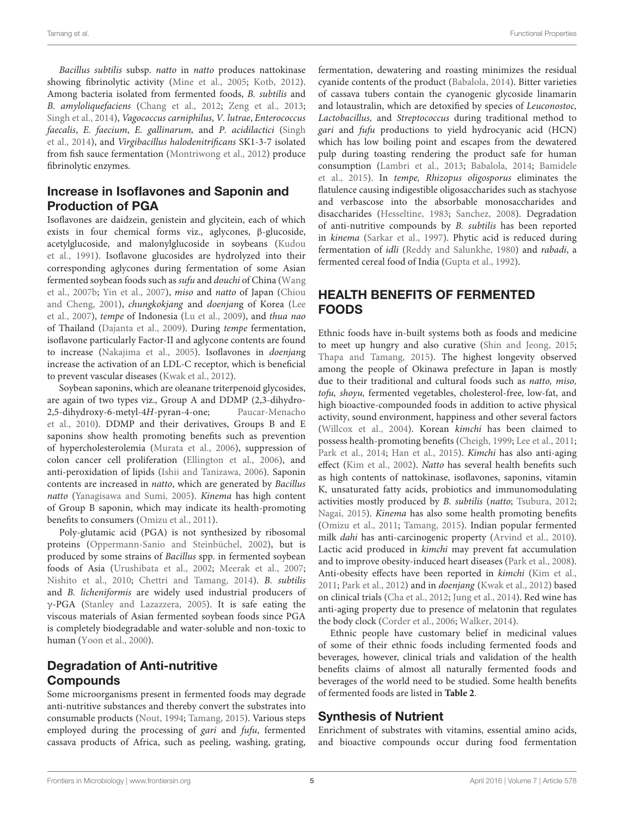Bacillus subtilis subsp. natto in natto produces nattokinase showing fibrinolytic activity [\(Mine et al.,](#page-9-12) [2005;](#page-9-12) [Kotb,](#page-9-3) [2012\)](#page-9-3). Among bacteria isolated from fermented foods, B. subtilis and B. amyloliquefaciens [\(Chang et al.,](#page-7-7) [2012;](#page-7-7) [Zeng et al.,](#page-12-0) [2013;](#page-12-0) [Singh et al.,](#page-11-14) [2014\)](#page-11-14), Vagococcus carniphilus, V. lutrae, Enterococcus faecalis, E. faecium, E. gallinarum, and P. acidilactici [\(Singh](#page-11-14) [et al.,](#page-11-14) [2014\)](#page-11-14), and Virgibacillus halodenitrificans SK1-3-7 isolated from fish sauce fermentation [\(Montriwong et al.,](#page-10-16) [2012\)](#page-10-16) produce fibrinolytic enzymes.

#### Increase in Isoflavones and Saponin and Production of PGA

Isoflavones are daidzein, genistein and glycitein, each of which exists in four chemical forms viz., aglycones, β-glucoside, acetylglucoside, and malonylglucoside in soybeans [\(Kudou](#page-9-13) [et al.,](#page-9-13) [1991\)](#page-9-13). Isoflavone glucosides are hydrolyzed into their corresponding aglycones during fermentation of some Asian fermented soybean foods such as sufu and douchi of China [\(Wang](#page-11-19) [et al.,](#page-11-19) [2007b;](#page-11-19) [Yin et al.,](#page-12-1) [2007\)](#page-12-1), miso and natto of Japan [\(Chiou](#page-8-17) [and Cheng,](#page-8-17) [2001\)](#page-8-17), chungkokjang and doenjang of Korea [\(Lee](#page-9-14) [et al.,](#page-9-14) [2007\)](#page-9-14), tempe of Indonesia [\(Lu et al.,](#page-9-15) [2009\)](#page-9-15), and thua nao of Thailand [\(Dajanta et al.,](#page-8-18) [2009\)](#page-8-18). During tempe fermentation, isoflavone particularly Factor-II and aglycone contents are found to increase [\(Nakajima et al.,](#page-10-17) [2005\)](#page-10-17). Isoflavones in doenjang increase the activation of an LDL-C receptor, which is beneficial to prevent vascular diseases [\(Kwak et al.,](#page-9-16) [2012\)](#page-9-16).

Soybean saponins, which are oleanane triterpenoid glycosides, are again of two types viz., Group A and DDMP (2,3-dihydro-2,5-dihydroxy-6-metyl-4H-pyran-4-one; [Paucar-Menacho](#page-10-18) [et al.,](#page-10-18) [2010\)](#page-10-18). DDMP and their derivatives, Groups B and E saponins show health promoting benefits such as prevention of hypercholesterolemia [\(Murata et al.,](#page-10-19) [2006\)](#page-10-19), suppression of colon cancer cell proliferation [\(Ellington et al.,](#page-8-19) [2006\)](#page-8-19), and anti-peroxidation of lipids [\(Ishii and Tanizawa,](#page-8-20) [2006\)](#page-8-20). Saponin contents are increased in natto, which are generated by Bacillus natto [\(Yanagisawa and Sumi,](#page-12-2) [2005\)](#page-12-2). Kinema has high content of Group B saponin, which may indicate its health-promoting benefits to consumers [\(Omizu et al.,](#page-10-20) [2011\)](#page-10-20).

Poly-glutamic acid (PGA) is not synthesized by ribosomal proteins [\(Oppermann-Sanio and Steinbüchel,](#page-10-21) [2002\)](#page-10-21), but is produced by some strains of Bacillus spp. in fermented soybean foods of Asia [\(Urushibata et al.,](#page-11-20) [2002;](#page-11-20) [Meerak et al.,](#page-9-17) [2007;](#page-9-17) [Nishito et al.,](#page-10-22) [2010;](#page-10-22) [Chettri and Tamang,](#page-8-5) [2014\)](#page-8-5). B. subtilis and B. licheniformis are widely used industrial producers of γ-PGA [\(Stanley and Lazazzera,](#page-11-21) [2005\)](#page-11-21). It is safe eating the viscous materials of Asian fermented soybean foods since PGA is completely biodegradable and water-soluble and non-toxic to human [\(Yoon et al.,](#page-12-3) [2000\)](#page-12-3).

# Degradation of Anti-nutritive Compounds

Some microorganisms present in fermented foods may degrade anti-nutritive substances and thereby convert the substrates into consumable products [\(Nout,](#page-10-23) [1994;](#page-10-23) [Tamang,](#page-11-3) [2015\)](#page-11-3). Various steps employed during the processing of gari and fufu, fermented cassava products of Africa, such as peeling, washing, grating,

fermentation, dewatering and roasting minimizes the residual cyanide contents of the product [\(Babalola,](#page-7-2) [2014\)](#page-7-2). Bitter varieties of cassava tubers contain the cyanogenic glycoside linamarin and lotaustralin, which are detoxified by species of Leuconostoc, Lactobacillus, and Streptococcus during traditional method to gari and fufu productions to yield hydrocyanic acid (HCN) which has low boiling point and escapes from the dewatered pulp during toasting rendering the product safe for human consumption [\(Lambri et al.,](#page-9-18) [2013;](#page-9-18) [Babalola,](#page-7-2) [2014;](#page-7-2) [Bamidele](#page-7-8) [et al.,](#page-7-8) [2015\)](#page-7-8). In tempe, Rhizopus oligosporus eliminates the flatulence causing indigestible oligosaccharides such as stachyose and verbascose into the absorbable monosaccharides and disaccharides [\(Hesseltine,](#page-8-21) [1983;](#page-8-21) [Sanchez,](#page-11-22) [2008\)](#page-11-22). Degradation of anti-nutritive compounds by B. subtilis has been reported in kinema [\(Sarkar et al.,](#page-11-23) [1997\)](#page-11-23). Phytic acid is reduced during fermentation of idli [\(Reddy and Salunkhe,](#page-11-24) [1980\)](#page-11-24) and rabadi, a fermented cereal food of India [\(Gupta et al.,](#page-8-22) [1992\)](#page-8-22).

# HEALTH BENEFITS OF FERMENTED FOODS

Ethnic foods have in-built systems both as foods and medicine to meet up hungry and also curative [\(Shin and Jeong,](#page-11-11) [2015;](#page-11-11) [Thapa and Tamang,](#page-11-2) [2015\)](#page-11-2). The highest longevity observed among the people of Okinawa prefecture in Japan is mostly due to their traditional and cultural foods such as natto, miso, tofu, shoyu, fermented vegetables, cholesterol-free, low-fat, and high bioactive-compounded foods in addition to active physical activity, sound environment, happiness and other several factors [\(Willcox et al.,](#page-12-4) [2004\)](#page-12-4). Korean kimchi has been claimed to possess health-promoting benefits [\(Cheigh,](#page-8-23) [1999;](#page-8-23) [Lee et al.,](#page-9-19) [2011;](#page-9-19) [Park et al.,](#page-10-24) [2014;](#page-10-24) [Han et al.,](#page-8-24) [2015\)](#page-8-24). Kimchi has also anti-aging effect [\(Kim et al.,](#page-9-20) [2002\)](#page-9-20). Natto has several health benefits such as high contents of nattokinase, isoflavones, saponins, vitamin K, unsaturated fatty acids, probiotics and immunomodulating activities mostly produced by B. subtilis (natto; [Tsubura,](#page-11-25) [2012;](#page-11-25) [Nagai,](#page-10-25) [2015\)](#page-10-25). Kinema has also some health promoting benefits [\(Omizu et al.,](#page-10-20) [2011;](#page-10-20) [Tamang,](#page-11-3) [2015\)](#page-11-3). Indian popular fermented milk dahi has anti-carcinogenic property [\(Arvind et al.,](#page-7-9) [2010\)](#page-7-9). Lactic acid produced in kimchi may prevent fat accumulation and to improve obesity-induced heart diseases [\(Park et al.,](#page-10-26) [2008\)](#page-10-26). Anti-obesity effects have been reported in kimchi [\(Kim et al.,](#page-9-21) [2011;](#page-9-21) [Park et al.,](#page-10-27) [2012\)](#page-10-27) and in doenjang [\(Kwak et al.,](#page-9-16) [2012\)](#page-9-16) based on clinical trials [\(Cha et al.,](#page-7-10) [2012;](#page-7-10) [Jung et al.,](#page-9-22) [2014\)](#page-9-22). Red wine has anti-aging property due to presence of melatonin that regulates the body clock [\(Corder et al.,](#page-8-25) [2006;](#page-8-25) [Walker,](#page-11-26) [2014\)](#page-11-26).

Ethnic people have customary belief in medicinal values of some of their ethnic foods including fermented foods and beverages, however, clinical trials and validation of the health benefits claims of almost all naturally fermented foods and beverages of the world need to be studied. Some health benefits of fermented foods are listed in **[Table 2](#page-5-0)**.

#### Synthesis of Nutrient

Enrichment of substrates with vitamins, essential amino acids, and bioactive compounds occur during food fermentation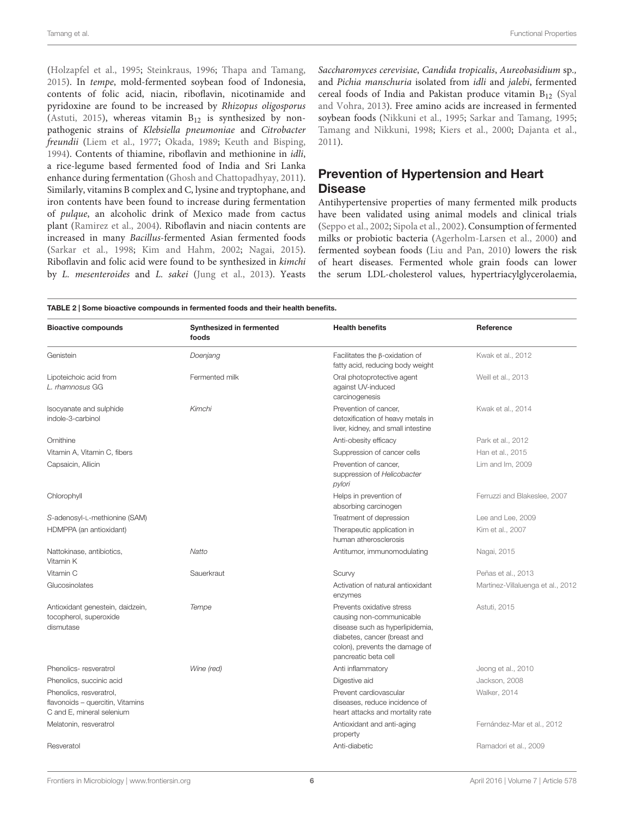[\(Holzapfel et al.,](#page-8-26) [1995;](#page-8-26) [Steinkraus,](#page-11-27) [1996;](#page-11-27) [Thapa and Tamang,](#page-11-2) [2015\)](#page-11-2). In tempe, mold-fermented soybean food of Indonesia, contents of folic acid, niacin, riboflavin, nicotinamide and pyridoxine are found to be increased by Rhizopus oligosporus [\(Astuti,](#page-7-11) [2015\)](#page-7-11), whereas vitamin  $B_{12}$  is synthesized by nonpathogenic strains of Klebsiella pneumoniae and Citrobacter freundii [\(Liem et al.,](#page-9-23) [1977;](#page-9-23) [Okada,](#page-10-28) [1989;](#page-10-28) [Keuth and Bisping,](#page-9-24) [1994\)](#page-9-24). Contents of thiamine, riboflavin and methionine in idli, a rice-legume based fermented food of India and Sri Lanka enhance during fermentation [\(Ghosh and Chattopadhyay,](#page-8-27) [2011\)](#page-8-27). Similarly, vitamins B complex and C, lysine and tryptophane, and iron contents have been found to increase during fermentation of pulque, an alcoholic drink of Mexico made from cactus plant [\(Ramirez et al.,](#page-10-29) [2004\)](#page-10-29). Riboflavin and niacin contents are increased in many Bacillus-fermented Asian fermented foods [\(Sarkar et al.,](#page-11-28) [1998;](#page-11-28) [Kim and Hahm,](#page-9-25) [2002;](#page-9-25) [Nagai,](#page-10-25) [2015\)](#page-10-25). Riboflavin and folic acid were found to be synthesized in kimchi by L. mesenteroides and L. sakei [\(Jung et al.,](#page-9-26) [2013\)](#page-9-26). Yeasts Saccharomyces cerevisiae, Candida tropicalis, Aureobasidium sp., and Pichia manschuria isolated from idli and jalebi, fermented cereal foods of India and Pakistan produce vitamin  $B_{12}$  [\(Syal](#page-11-29) [and Vohra,](#page-11-29) [2013\)](#page-11-29). Free amino acids are increased in fermented soybean foods [\(Nikkuni et al.,](#page-10-30) [1995;](#page-10-30) [Sarkar and Tamang,](#page-11-30) [1995;](#page-11-30) [Tamang and Nikkuni,](#page-11-31) [1998;](#page-11-31) [Kiers et al.,](#page-9-27) [2000;](#page-9-27) [Dajanta et al.,](#page-8-28) [2011\)](#page-8-28).

# Prevention of Hypertension and Heart **Disease**

Antihypertensive properties of many fermented milk products have been validated using animal models and clinical trials [\(Seppo et al.,](#page-11-32) [2002;](#page-11-32) [Sipola et al.,](#page-11-33) [2002\)](#page-11-33). Consumption of fermented milks or probiotic bacteria [\(Agerholm-Larsen et al.,](#page-7-12) [2000\)](#page-7-12) and fermented soybean foods [\(Liu and Pan,](#page-9-9) [2010\)](#page-9-9) lowers the risk of heart diseases. Fermented whole grain foods can lower the serum LDL-cholesterol values, hypertriacylglycerolaemia,

<span id="page-5-0"></span>

| <b>Bioactive compounds</b>                                                               | Synthesized in fermented<br>foods | <b>Health benefits</b>                                                                                                                                                             | Reference                         |
|------------------------------------------------------------------------------------------|-----------------------------------|------------------------------------------------------------------------------------------------------------------------------------------------------------------------------------|-----------------------------------|
| Genistein                                                                                | Doenjang                          | Facilitates the $\beta$ -oxidation of<br>fatty acid, reducing body weight                                                                                                          | Kwak et al., 2012                 |
| Lipoteichoic acid from<br>L. rhamnosus GG                                                | Fermented milk                    | Oral photoprotective agent<br>against UV-induced<br>carcinogenesis                                                                                                                 | Weill et al., 2013                |
| Isocyanate and sulphide<br>indole-3-carbinol                                             | Kimchi                            | Prevention of cancer,<br>detoxification of heavy metals in<br>liver, kidney, and small intestine                                                                                   | Kwak et al., 2014                 |
| Ornithine                                                                                |                                   | Anti-obesity efficacy                                                                                                                                                              | Park et al., 2012                 |
| Vitamin A, Vitamin C, fibers                                                             |                                   | Suppression of cancer cells                                                                                                                                                        | Han et al., 2015                  |
| Capsaicin, Allicin                                                                       |                                   | Prevention of cancer,<br>suppression of Helicobacter<br>pylori                                                                                                                     | Lim and Im, 2009                  |
| Chlorophyll                                                                              |                                   | Helps in prevention of<br>absorbing carcinogen                                                                                                                                     | Ferruzzi and Blakeslee, 2007      |
| S-adenosyl-L-methionine (SAM)                                                            |                                   | Treatment of depression                                                                                                                                                            | Lee and Lee, 2009                 |
| HDMPPA (an antioxidant)                                                                  |                                   | Therapeutic application in<br>human atherosclerosis                                                                                                                                | Kim et al., 2007                  |
| Nattokinase, antibiotics,<br>Vitamin K                                                   | Natto                             | Antitumor, immunomodulating                                                                                                                                                        | Nagai, 2015                       |
| Vitamin C                                                                                | Sauerkraut                        | Scurvy                                                                                                                                                                             | Peñas et al., 2013                |
| Glucosinolates                                                                           |                                   | Activation of natural antioxidant<br>enzymes                                                                                                                                       | Martinez-Villaluenga et al., 2012 |
| Antioxidant genestein, daidzein,<br>tocopherol, superoxide<br>dismutase                  | Tempe                             | Prevents oxidative stress<br>causing non-communicable<br>disease such as hyperlipidemia,<br>diabetes, cancer (breast and<br>colon), prevents the damage of<br>pancreatic beta cell | Astuti, 2015                      |
| Phenolics-resveratrol                                                                    | Wine (red)                        | Anti inflammatory                                                                                                                                                                  | Jeong et al., 2010                |
| Phenolics, succinic acid                                                                 |                                   | Digestive aid                                                                                                                                                                      | Jackson, 2008                     |
| Phenolics, resveratrol,<br>flavonoids - quercitin, Vitamins<br>C and E, mineral selenium |                                   | Prevent cardiovascular<br>diseases, reduce incidence of<br>heart attacks and mortality rate                                                                                        | Walker, 2014                      |
| Melatonin, resveratrol                                                                   |                                   | Antioxidant and anti-aging<br>property                                                                                                                                             | Fernández-Mar et al., 2012        |
| Resveratol                                                                               |                                   | Anti-diabetic                                                                                                                                                                      | Ramadori et al., 2009             |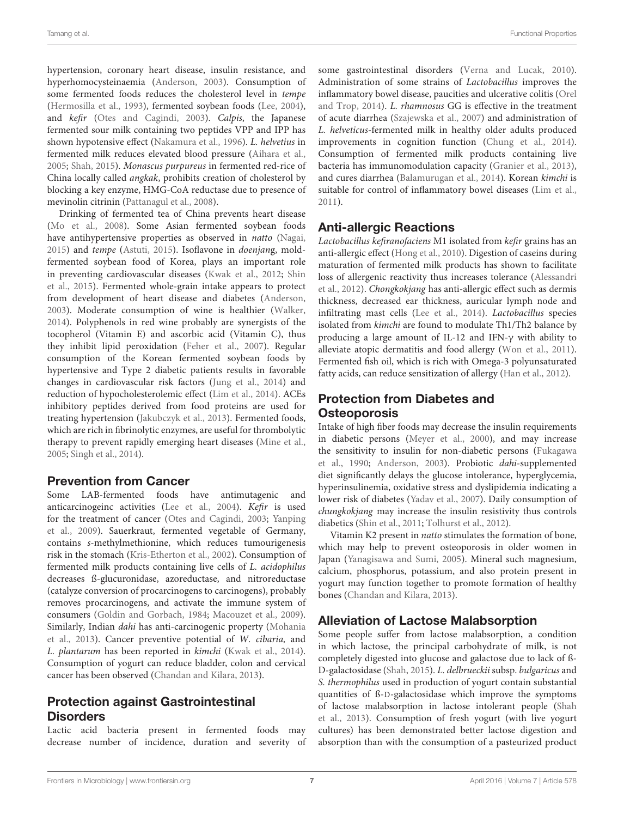hypertension, coronary heart disease, insulin resistance, and hyperhomocysteinaemia [\(Anderson,](#page-7-13) [2003\)](#page-7-13). Consumption of some fermented foods reduces the cholesterol level in tempe [\(Hermosilla et al.,](#page-8-33) [1993\)](#page-8-33), fermented soybean foods [\(Lee,](#page-9-32) [2004\)](#page-9-32), and kefir [\(Otes and Cagindi,](#page-10-33) [2003\)](#page-10-33). Calpis, the Japanese fermented sour milk containing two peptides VPP and IPP has shown hypotensive effect [\(Nakamura et al.,](#page-10-34) [1996\)](#page-10-34). L. helvetius in fermented milk reduces elevated blood pressure [\(Aihara et al.,](#page-7-14) [2005;](#page-7-14) [Shah,](#page-11-8) [2015\)](#page-11-8). Monascus purpureus in fermented red-rice of China locally called angkak, prohibits creation of cholesterol by blocking a key enzyme, HMG-CoA reductase due to presence of mevinolin citrinin [\(Pattanagul et al.,](#page-10-35) [2008\)](#page-10-35).

Drinking of fermented tea of China prevents heart disease [\(Mo et al.,](#page-9-33) [2008\)](#page-9-33). Some Asian fermented soybean foods have antihypertensive properties as observed in natto [\(Nagai,](#page-10-25) [2015\)](#page-10-25) and tempe [\(Astuti,](#page-7-11) [2015\)](#page-7-11). Isoflavone in doenjang, moldfermented soybean food of Korea, plays an important role in preventing cardiovascular diseases [\(Kwak et al.,](#page-9-16) [2012;](#page-9-16) [Shin](#page-11-35) [et al.,](#page-11-35) [2015\)](#page-11-35). Fermented whole-grain intake appears to protect from development of heart disease and diabetes [\(Anderson,](#page-7-13) [2003\)](#page-7-13). Moderate consumption of wine is healthier [\(Walker,](#page-11-26) [2014\)](#page-11-26). Polyphenols in red wine probably are synergists of the tocopherol (Vitamin E) and ascorbic acid (Vitamin C), thus they inhibit lipid peroxidation [\(Feher et al.,](#page-8-34) [2007\)](#page-8-34). Regular consumption of the Korean fermented soybean foods by hypertensive and Type 2 diabetic patients results in favorable changes in cardiovascular risk factors [\(Jung et al.,](#page-9-22) [2014\)](#page-9-22) and reduction of hypocholesterolemic effect [\(Lim et al.,](#page-9-34) [2014\)](#page-9-34). ACEs inhibitory peptides derived from food proteins are used for treating hypertension [\(Jakubczyk et al.,](#page-8-35) [2013\)](#page-8-35). Fermented foods, which are rich in fibrinolytic enzymes, are useful for thrombolytic therapy to prevent rapidly emerging heart diseases [\(Mine et al.,](#page-9-12) [2005;](#page-9-12) [Singh et al.,](#page-11-14) [2014\)](#page-11-14).

#### Prevention from Cancer

Some LAB-fermented foods have antimutagenic and anticarcinogeinc activities [\(Lee et al.,](#page-9-35) [2004\)](#page-9-35). Kefir is used for the treatment of cancer [\(Otes and Cagindi,](#page-10-33) [2003;](#page-10-33) [Yanping](#page-12-5) [et al.,](#page-12-5) [2009\)](#page-12-5). Sauerkraut, fermented vegetable of Germany, contains s-methylmethionine, which reduces tumourigenesis risk in the stomach [\(Kris-Etherton et al.,](#page-9-36) [2002\)](#page-9-36). Consumption of fermented milk products containing live cells of L. acidophilus decreases ß-glucuronidase, azoreductase, and nitroreductase (catalyze conversion of procarcinogens to carcinogens), probably removes procarcinogens, and activate the immune system of consumers [\(Goldin and Gorbach,](#page-8-36) [1984;](#page-8-36) [Macouzet et al.,](#page-9-5) [2009\)](#page-9-5). Similarly, Indian dahi has anti-carcinogenic property [\(Mohania](#page-9-37) [et al.,](#page-9-37) [2013\)](#page-9-37). Cancer preventive potential of W. cibaria, and L. plantarum has been reported in kimchi [\(Kwak et al.,](#page-9-28) [2014\)](#page-9-28). Consumption of yogurt can reduce bladder, colon and cervical cancer has been observed [\(Chandan and Kilara,](#page-7-15) [2013\)](#page-7-15).

# Protection against Gastrointestinal **Disorders**

Lactic acid bacteria present in fermented foods may decrease number of incidence, duration and severity of some gastrointestinal disorders [\(Verna and Lucak,](#page-11-36) [2010\)](#page-11-36). Administration of some strains of Lactobacillus improves the inflammatory bowel disease, paucities and ulcerative colitis [\(Orel](#page-10-36) [and Trop,](#page-10-36) [2014\)](#page-10-36). L. rhamnosus GG is effective in the treatment of acute diarrhea [\(Szajewska et al.,](#page-11-37) [2007\)](#page-11-37) and administration of L. helveticus-fermented milk in healthy older adults produced improvements in cognition function [\(Chung et al.,](#page-8-37) [2014\)](#page-8-37). Consumption of fermented milk products containing live bacteria has immunomodulation capacity [\(Granier et al.,](#page-8-38) [2013\)](#page-8-38), and cures diarrhea [\(Balamurugan et al.,](#page-7-16) [2014\)](#page-7-16). Korean kimchi is suitable for control of inflammatory bowel diseases [\(Lim et al.,](#page-9-38) [2011\)](#page-9-38).

### Anti-allergic Reactions

Lactobacillus kefiranofaciens M1 isolated from kefir grains has an anti-allergic effect [\(Hong et al.,](#page-8-39) [2010\)](#page-8-39). Digestion of caseins during maturation of fermented milk products has shown to facilitate loss of allergenic reactivity thus increases tolerance [\(Alessandri](#page-7-17) [et al.,](#page-7-17) [2012\)](#page-7-17). Chongkokjang has anti-allergic effect such as dermis thickness, decreased ear thickness, auricular lymph node and infiltrating mast cells [\(Lee et al.,](#page-9-39) [2014\)](#page-9-39). Lactobacillus species isolated from kimchi are found to modulate Th1/Th2 balance by producing a large amount of IL-12 and IFN-γ with ability to alleviate atopic dermatitis and food allergy [\(Won et al.,](#page-12-6) [2011\)](#page-12-6). Fermented fish oil, which is rich with Omega-3 polyunsaturated fatty acids, can reduce sensitization of allergy [\(Han et al.,](#page-8-40) [2012\)](#page-8-40).

# Protection from Diabetes and **Osteoporosis**

Intake of high fiber foods may decrease the insulin requirements in diabetic persons [\(Meyer et al.,](#page-9-40) [2000\)](#page-9-40), and may increase the sensitivity to insulin for non-diabetic persons [\(Fukagawa](#page-8-41) [et al.,](#page-8-41) [1990;](#page-8-41) [Anderson,](#page-7-13) [2003\)](#page-7-13). Probiotic dahi-supplemented diet significantly delays the glucose intolerance, hyperglycemia, hyperinsulinemia, oxidative stress and dyslipidemia indicating a lower risk of diabetes [\(Yadav et al.,](#page-12-7) [2007\)](#page-12-7). Daily consumption of chungkokjang may increase the insulin resistivity thus controls diabetics [\(Shin et al.,](#page-11-38) [2011;](#page-11-38) [Tolhurst et al.,](#page-11-39) [2012\)](#page-11-39).

Vitamin K2 present in natto stimulates the formation of bone, which may help to prevent osteoporosis in older women in Japan [\(Yanagisawa and Sumi,](#page-12-2) [2005\)](#page-12-2). Mineral such magnesium, calcium, phosphorus, potassium, and also protein present in yogurt may function together to promote formation of healthy bones [\(Chandan and Kilara,](#page-7-15) [2013\)](#page-7-15).

### Alleviation of Lactose Malabsorption

Some people suffer from lactose malabsorption, a condition in which lactose, the principal carbohydrate of milk, is not completely digested into glucose and galactose due to lack of ß-D-galactosidase [\(Shah,](#page-11-8) [2015\)](#page-11-8). L. delbrueckii subsp. bulgaricus and S. thermophilus used in production of yogurt contain substantial quantities of ß-D-galactosidase which improve the symptoms of lactose malabsorption in lactose intolerant people [\(Shah](#page-11-40) [et al.,](#page-11-40) [2013\)](#page-11-40). Consumption of fresh yogurt (with live yogurt cultures) has been demonstrated better lactose digestion and absorption than with the consumption of a pasteurized product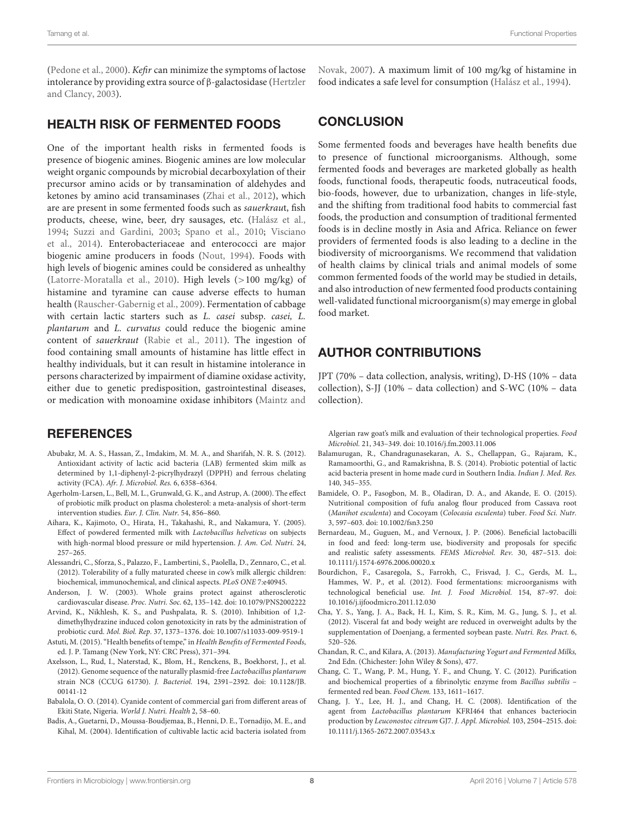[\(Pedone et al.,](#page-10-37) [2000\)](#page-10-37). Kefir can minimize the symptoms of lactose intolerance by providing extra source of β-galactosidase [\(Hertzler](#page-8-42) [and Clancy,](#page-8-42) [2003\)](#page-8-42).

### HEALTH RISK OF FERMENTED FOODS

One of the important health risks in fermented foods is presence of biogenic amines. Biogenic amines are low molecular weight organic compounds by microbial decarboxylation of their precursor amino acids or by transamination of aldehydes and ketones by amino acid transaminases [\(Zhai et al.,](#page-12-8) [2012\)](#page-12-8), which are are present in some fermented foods such as sauerkraut, fish products, cheese, wine, beer, dry sausages, etc. [\(Halász et al.,](#page-8-43) [1994;](#page-8-43) [Suzzi and Gardini,](#page-11-41) [2003;](#page-11-41) [Spano et al.,](#page-11-42) [2010;](#page-11-42) [Visciano](#page-11-43) [et al.,](#page-11-43) [2014\)](#page-11-43). Enterobacteriaceae and enterococci are major biogenic amine producers in foods [\(Nout,](#page-10-23) [1994\)](#page-10-23). Foods with high levels of biogenic amines could be considered as unhealthy [\(Latorre-Moratalla et al.,](#page-9-41) [2010\)](#page-9-41). High levels (>100 mg/kg) of histamine and tyramine can cause adverse effects to human health [\(Rauscher-Gabernig et al.,](#page-10-38) [2009\)](#page-10-38). Fermentation of cabbage with certain lactic starters such as L. casei subsp. casei, L. plantarum and L. curvatus could reduce the biogenic amine content of sauerkraut [\(Rabie et al.,](#page-10-39) [2011\)](#page-10-39). The ingestion of food containing small amounts of histamine has little effect in healthy individuals, but it can result in histamine intolerance in persons characterized by impairment of diamine oxidase activity, either due to genetic predisposition, gastrointestinal diseases, or medication with monoamine oxidase inhibitors [\(Maintz and](#page-9-42)

#### **REFERENCES**

- <span id="page-7-6"></span>Abubakr, M. A. S., Hassan, Z., Imdakim, M. M. A., and Sharifah, N. R. S. (2012). Antioxidant activity of lactic acid bacteria (LAB) fermented skim milk as determined by 1,1-diphenyl-2-picrylhydrazyl (DPPH) and ferrous chelating activity (FCA). Afr. J. Microbiol. Res. 6, 6358–6364.
- <span id="page-7-12"></span>Agerholm-Larsen, L., Bell, M. L., Grunwald, G. K., and Astrup, A. (2000). The effect of probiotic milk product on plasma cholesterol: a meta-analysis of short-term intervention studies. Eur. J. Clin. Nutr. 54, 856–860.
- <span id="page-7-14"></span>Aihara, K., Kajimoto, O., Hirata, H., Takahashi, R., and Nakamura, Y. (2005). Effect of powdered fermented milk with Lactobacillus helveticus on subjects with high-normal blood pressure or mild hypertension. J. Am. Col. Nutri. 24, 257–265.
- <span id="page-7-17"></span>Alessandri, C., Sforza, S., Palazzo, F., Lambertini, S., Paolella, D., Zennaro, C., et al. (2012). Tolerability of a fully maturated cheese in cow's milk allergic children: biochemical, immunochemical, and clinical aspects. PLoS ONE 7:e40945.
- <span id="page-7-13"></span>Anderson, J. W. (2003). Whole grains protect against atherosclerotic cardiovascular disease. Proc. Nutri. Soc. 62, 135–142. doi: 10.1079/PNS2002222
- <span id="page-7-9"></span>Arvind, K., Nikhlesh, K. S., and Pushpalata, R. S. (2010). Inhibition of 1,2 dimethylhydrazine induced colon genotoxicity in rats by the administration of probiotic curd. Mol. Biol. Rep. 37, 1373–1376. doi: 10.1007/s11033-009-9519-1
- <span id="page-7-11"></span>Astuti, M. (2015). "Health benefits of tempe," in Health Benefits of Fermented Foods, ed. J. P. Tamang (New York, NY: CRC Press), 371–394.
- <span id="page-7-1"></span>Axelsson, L., Rud, I., Naterstad, K., Blom, H., Renckens, B., Boekhorst, J., et al. (2012). Genome sequence of the naturally plasmid-free Lactobacillus plantarum strain NC8 (CCUG 61730). J. Bacteriol. 194, 2391–2392. doi: 10.1128/JB. 00141-12
- <span id="page-7-2"></span>Babalola, O. O. (2014). Cyanide content of commercial gari from different areas of Ekiti State, Nigeria. World J. Nutri. Health 2, 58–60.
- <span id="page-7-3"></span>Badis, A., Guetarni, D., Moussa-Boudjemaa, B., Henni, D. E., Tornadijo, M. E., and Kihal, M. (2004). Identification of cultivable lactic acid bacteria isolated from

[Novak,](#page-9-42) [2007\)](#page-9-42). A maximum limit of 100 mg/kg of histamine in food indicates a safe level for consumption [\(Halász et al.,](#page-8-43) [1994\)](#page-8-43).

#### **CONCLUSION**

Some fermented foods and beverages have health benefits due to presence of functional microorganisms. Although, some fermented foods and beverages are marketed globally as health foods, functional foods, therapeutic foods, nutraceutical foods, bio-foods, however, due to urbanization, changes in life-style, and the shifting from traditional food habits to commercial fast foods, the production and consumption of traditional fermented foods is in decline mostly in Asia and Africa. Reliance on fewer providers of fermented foods is also leading to a decline in the biodiversity of microorganisms. We recommend that validation of health claims by clinical trials and animal models of some common fermented foods of the world may be studied in details, and also introduction of new fermented food products containing well-validated functional microorganism(s) may emerge in global food market.

# AUTHOR CONTRIBUTIONS

JPT (70% – data collection, analysis, writing), D-HS (10% – data collection), S-JJ (10% – data collection) and S-WC (10% – data collection).

Algerian raw goat's milk and evaluation of their technological properties. Food Microbiol. 21, 343–349. doi: 10.1016/j.fm.2003.11.006

- <span id="page-7-16"></span>Balamurugan, R., Chandragunasekaran, A. S., Chellappan, G., Rajaram, K., Ramamoorthi, G., and Ramakrishna, B. S. (2014). Probiotic potential of lactic acid bacteria present in home made curd in Southern India. Indian J. Med. Res. 140, 345–355.
- <span id="page-7-8"></span>Bamidele, O. P., Fasogbon, M. B., Oladiran, D. A., and Akande, E. O. (2015). Nutritional composition of fufu analog flour produced from Cassava root (Manihot esculenta) and Cocoyam (Colocasia esculenta) tuber. Food Sci. Nutr. 3, 597–603. doi: 10.1002/fsn3.250
- <span id="page-7-4"></span>Bernardeau, M., Guguen, M., and Vernoux, J. P. (2006). Beneficial lactobacilli in food and feed: long-term use, biodiversity and proposals for specific and realistic safety assessments. FEMS Microbiol. Rev. 30, 487–513. doi: 10.1111/j.1574-6976.2006.00020.x
- <span id="page-7-0"></span>Bourdichon, F., Casaregola, S., Farrokh, C., Frisvad, J. C., Gerds, M. L., Hammes, W. P., et al. (2012). Food fermentations: microorganisms with technological beneficial use. Int. J. Food Microbiol. 154, 87–97. doi: 10.1016/j.ijfoodmicro.2011.12.030
- <span id="page-7-10"></span>Cha, Y. S., Yang, J. A., Back, H. I., Kim, S. R., Kim, M. G., Jung, S. J., et al. (2012). Visceral fat and body weight are reduced in overweight adults by the supplementation of Doenjang, a fermented soybean paste. Nutri. Res. Pract. 6, 520–526.
- <span id="page-7-15"></span>Chandan, R. C., and Kilara, A. (2013). Manufacturing Yogurt and Fermented Milks, 2nd Edn. (Chichester: John Wiley & Sons), 477.
- <span id="page-7-7"></span>Chang, C. T., Wang, P. M., Hung, Y. F., and Chung, Y. C. (2012). Purification and biochemical properties of a fibrinolytic enzyme from Bacillus subtilis – fermented red bean. Food Chem. 133, 1611–1617.
- <span id="page-7-5"></span>Chang, J. Y., Lee, H. J., and Chang, H. C. (2008). Identification of the agent from Lactobacillus plantarum KFRI464 that enhances bacteriocin production by Leuconostoc citreum GJ7. J. Appl. Microbiol. 103, 2504–2515. doi: 10.1111/j.1365-2672.2007.03543.x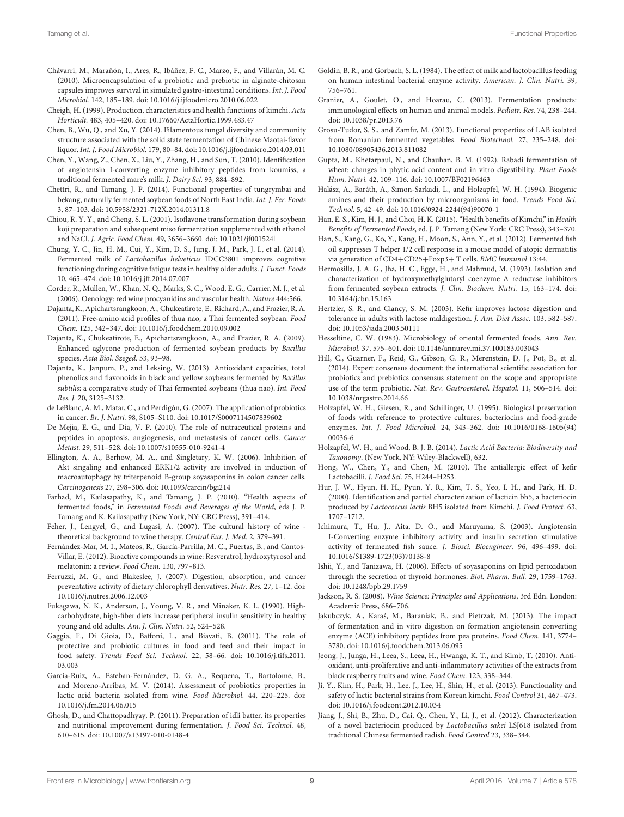- <span id="page-8-7"></span>Chávarri, M., Marañón, I., Ares, R., Ibáñez, F. C., Marzo, F., and Villarán, M. C. (2010). Microencapsulation of a probiotic and prebiotic in alginate-chitosan capsules improves survival in simulated gastro-intestinal conditions. Int. J. Food Microbiol. 142, 185–189. doi: 10.1016/j.ijfoodmicro.2010.06.022
- <span id="page-8-23"></span>Cheigh, H. (1999). Production, characteristics and health functions of kimchi. Acta Horticult. 483, 405–420. doi: 10.17660/ActaHortic.1999.483.47
- <span id="page-8-2"></span>Chen, B., Wu, Q., and Xu, Y. (2014). Filamentous fungal diversity and community structure associated with the solid state fermentation of Chinese Maotai-flavor liquor. Int. J. Food Microbiol. 179, 80–84. doi: 10.1016/j.ijfoodmicro.2014.03.011
- <span id="page-8-15"></span>Chen, Y., Wang, Z., Chen, X., Liu, Y., Zhang, H., and Sun, T. (2010). Identification of angiotensin I-converting enzyme inhibitory peptides from koumiss, a traditional fermented mare's milk. J. Dairy Sci. 93, 884–892.
- <span id="page-8-5"></span>Chettri, R., and Tamang, J. P. (2014). Functional properties of tungrymbai and bekang, naturally fermented soybean foods of North East India. Int. J. Fer. Foods 3, 87–103. doi: 10.5958/2321-712X.2014.01311.8
- <span id="page-8-17"></span>Chiou, R. Y. Y., and Cheng, S. L. (2001). Isoflavone transformation during soybean koji preparation and subsequent miso fermentation supplemented with ethanol and NaCl. J. Agric. Food Chem. 49, 3656–3660. doi: 10.1021/jf001524l
- <span id="page-8-37"></span>Chung, Y. C., Jin, H. M., Cui, Y., Kim, D. S., Jung, J. M., Park, J. I., et al. (2014). Fermented milk of Lactobacillus helveticus IDCC3801 improves cognitive functioning during cognitive fatigue tests in healthy older adults. J. Funct. Foods 10, 465–474. doi: 10.1016/j.jff.2014.07.007
- <span id="page-8-25"></span>Corder, R., Mullen, W., Khan, N. Q., Marks, S. C., Wood, E. G., Carrier, M. J., et al. (2006). Oenology: red wine procyanidins and vascular health. Nature 444:566.
- <span id="page-8-28"></span>Dajanta, K., Apichartsrangkoon, A., Chukeatirote, E., Richard, A., and Frazier, R. A. (2011). Free-amino acid profiles of thua nao, a Thai fermented soybean. Food Chem. 125, 342–347. doi: 10.1016/j.foodchem.2010.09.002
- <span id="page-8-18"></span>Dajanta, K., Chukeatirote, E., Apichartsrangkoon, A., and Frazier, R. A. (2009). Enhanced aglycone production of fermented soybean products by Bacillus species. Acta Biol. Szeged. 53, 93–98.
- <span id="page-8-14"></span>Dajanta, K., Janpum, P., and Leksing, W. (2013). Antioxidant capacities, total phenolics and flavonoids in black and yellow soybeans fermented by Bacillus subtilis: a comparative study of Thai fermented soybeans (thua nao). Int. Food Res. J. 20, 3125–3132.
- <span id="page-8-6"></span>de LeBlanc, A. M., Matar, C., and Perdigón, G. (2007). The application of probiotics in cancer. Br. J. Nutri. 98, S105–S110. doi: 10.1017/S0007114507839602
- <span id="page-8-4"></span>De Mejia, E. G., and Dia, V. P. (2010). The role of nutraceutical proteins and peptides in apoptosis, angiogenesis, and metastasis of cancer cells. Cancer Metast. 29, 511–528. doi: 10.1007/s10555-010-9241-4
- <span id="page-8-19"></span>Ellington, A. A., Berhow, M. A., and Singletary, K. W. (2006). Inhibition of Akt singaling and enhanced ERK1/2 activity are involved in induction of macroautophagy by triterpenoid B-group soyasaponins in colon cancer cells. Carcinogenesis 27, 298–306. doi: 10.1093/carcin/bgi214
- <span id="page-8-0"></span>Farhad, M., Kailasapathy, K., and Tamang, J. P. (2010). "Health aspects of fermented foods," in Fermented Foods and Beverages of the World, eds J. P. Tamang and K. Kailasapathy (New York, NY: CRC Press), 391–414.
- <span id="page-8-34"></span>Feher, J., Lengyel, G., and Lugasi, A. (2007). The cultural history of wine theoretical background to wine therapy. Central Eur. J. Med. 2, 379–391.
- <span id="page-8-32"></span>Fernández-Mar, M. I., Mateos, R., García-Parrilla, M. C., Puertas, B., and Cantos-Villar, E. (2012). Bioactive compounds in wine: Resveratrol, hydroxytyrosol and melatonin: a review. Food Chem. 130, 797–813.
- <span id="page-8-29"></span>Ferruzzi, M. G., and Blakeslee, J. (2007). Digestion, absorption, and cancer preventative activity of dietary chlorophyll derivatives. Nutr. Res. 27, 1–12. doi: 10.1016/j.nutres.2006.12.003
- <span id="page-8-41"></span>Fukagawa, N. K., Anderson, J., Young, V. R., and Minaker, K. L. (1990). Highcarbohydrate, high-fiber diets increase peripheral insulin sensitivity in healthy young and old adults. Am. J. Clin. Nutri. 52, 524-528.
- <span id="page-8-10"></span>Gaggia, F., Di Gioia, D., Baffoni, L., and Biavati, B. (2011). The role of protective and probiotic cultures in food and feed and their impact in food safety. Trends Food Sci. Technol. 22, 58–66. doi: 10.1016/j.tifs.2011. 03.003
- <span id="page-8-9"></span>García-Ruiz, A., Esteban-Fernández, D. G. A., Requena, T., Bartolomé, B., and Moreno-Arribas, M. V. (2014). Assessment of probiotics properties in lactic acid bacteria isolated from wine. Food Microbiol. 44, 220–225. doi: 10.1016/j.fm.2014.06.015
- <span id="page-8-27"></span>Ghosh, D., and Chattopadhyay, P. (2011). Preparation of idli batter, its properties and nutritional improvement during fermentation. J. Food Sci. Technol. 48, 610–615. doi: 10.1007/s13197-010-0148-4
- <span id="page-8-36"></span>Goldin, B. R., and Gorbach, S. L. (1984). The effect of milk and lactobacillus feeding on human intestinal bacterial enzyme activity. American. J. Clin. Nutri. 39, 756–761.
- <span id="page-8-38"></span>Granier, A., Goulet, O., and Hoarau, C. (2013). Fermentation products: immunological effects on human and animal models. Pediatr. Res. 74, 238–244. doi: 10.1038/pr.2013.76
- <span id="page-8-12"></span>Grosu-Tudor, S. S., and Zamfir, M. (2013). Functional properties of LAB isolated from Romanian fermented vegetables. Food Biotechnol. 27, 235–248. doi: 10.1080/08905436.2013.811082
- <span id="page-8-22"></span>Gupta, M., Khetarpaul, N., and Chauhan, B. M. (1992). Rabadi fermentation of wheat: changes in phytic acid content and in vitro digestibility. Plant Foods Hum. Nutri. 42, 109–116. doi: 10.1007/BF02196463
- <span id="page-8-43"></span>Halász, A., Baráth, A., Simon-Sarkadi, L., and Holzapfel, W. H. (1994). Biogenic amines and their production by microorganisms in food. Trends Food Sci. Technol. 5, 42–49. doi: 10.1016/0924-2244(94)90070-1
- <span id="page-8-24"></span>Han, E. S., Kim, H. J., and Choi, H. K. (2015). "Health benefits of Kimchi," in Health Benefits of Fermented Foods, ed. J. P. Tamang (New York: CRC Press), 343–370.
- <span id="page-8-40"></span>Han, S., Kang, G., Ko, Y., Kang, H., Moon, S., Ann, Y., et al. (2012). Fermented fish oil suppresses T helper 1/2 cell response in a mouse model of atopic dermatitis via generation of CD4+CD25+Foxp3+ T cells. BMC Immunol 13:44.
- <span id="page-8-33"></span>Hermosilla, J. A. G., Jha, H. C., Egge, H., and Mahmud, M. (1993). Isolation and characterization of hydroxymethylglutaryl coenzyme A reductase inhibitors from fermented soybean extracts. J. Clin. Biochem. Nutri. 15, 163–174. doi: 10.3164/jcbn.15.163
- <span id="page-8-42"></span>Hertzler, S. R., and Clancy, S. M. (2003). Kefir improves lactose digestion and tolerance in adults with lactose maldigestion. J. Am. Diet Assoc. 103, 582–587. doi: 10.1053/jada.2003.50111
- <span id="page-8-21"></span>Hesseltine, C. W. (1983). Microbiology of oriental fermented foods. Ann. Rev. Microbiol. 37, 575–601. doi: 10.1146/annurev.mi.37.100183.003043
- <span id="page-8-3"></span>Hill, C., Guarner, F., Reid, G., Gibson, G. R., Merenstein, D. J., Pot, B., et al. (2014). Expert consensus document: the international scientific association for probiotics and prebiotics consensus statement on the scope and appropriate use of the term probiotic. Nat. Rev. Gastroenterol. Hepatol. 11, 506–514. doi: 10.1038/nrgastro.2014.66
- <span id="page-8-26"></span>Holzapfel, W. H., Giesen, R., and Schillinger, U. (1995). Biological preservation of foods with reference to protective cultures, bacteriocins and food-grade enzymes. Int. J. Food Microbiol. 24, 343–362. doi: 10.1016/0168-1605(94) 00036-6
- <span id="page-8-1"></span>Holzapfel, W. H., and Wood, B. J. B. (2014). Lactic Acid Bacteria: Biodiversity and Taxonomy. (New York, NY: Wiley-Blackwell), 632.
- <span id="page-8-39"></span>Hong, W., Chen, Y., and Chen, M. (2010). The antiallergic effect of kefir Lactobacilli. J. Food Sci. 75, H244–H253.
- <span id="page-8-13"></span>Hur, J. W., Hyun, H. H., Pyun, Y. R., Kim, T. S., Yeo, I. H., and Park, H. D. (2000). Identification and partial characterization of lacticin bh5, a bacteriocin produced by Lactococcus lactis BH5 isolated from Kimchi. J. Food Protect. 63, 1707–1712.
- <span id="page-8-16"></span>Ichimura, T., Hu, J., Aita, D. O., and Maruyama, S. (2003). Angiotensin I-Converting enzyme inhibitory activity and insulin secretion stimulative activity of fermented fish sauce. J. Biosci. Bioengineer. 96, 496–499. doi: 10.1016/S1389-1723(03)70138-8
- <span id="page-8-20"></span>Ishii, Y., and Tanizawa, H. (2006). Effects of soyasaponins on lipid peroxidation through the secretion of thyroid hormones. Biol. Pharm. Bull. 29, 1759–1763. doi: 10.1248/bpb.29.1759
- <span id="page-8-31"></span>Jackson, R. S. (2008). Wine Science: Principles and Applications, 3rd Edn. London: Academic Press, 686–706.
- <span id="page-8-35"></span>Jakubczyk, A., Karaś, M., Baraniak, B., and Pietrzak, M. (2013). The impact of fermentation and in vitro digestion on formation angiotensin converting enzyme (ACE) inhibitory peptides from pea proteins. Food Chem. 141, 3774– 3780. doi: 10.1016/j.foodchem.2013.06.095
- <span id="page-8-30"></span>Jeong, J., Junga, H., Leea, S., Leea, H., Hwanga, K. T., and Kimb, T. (2010). Antioxidant, anti-proliferative and anti-inflammatory activities of the extracts from black raspberry fruits and wine. Food Chem. 123, 338–344.
- <span id="page-8-8"></span>Ji, Y., Kim, H., Park, H., Lee, J., Lee, H., Shin, H., et al. (2013). Functionality and safety of lactic bacterial strains from Korean kimchi. Food Control 31, 467–473. doi: 10.1016/j.foodcont.2012.10.034
- <span id="page-8-11"></span>Jiang, J., Shi, B., Zhu, D., Cai, Q., Chen, Y., Li, J., et al. (2012). Characterization of a novel bacteriocin produced by Lactobacillus sakei LSJ618 isolated from traditional Chinese fermented radish. Food Control 23, 338–344.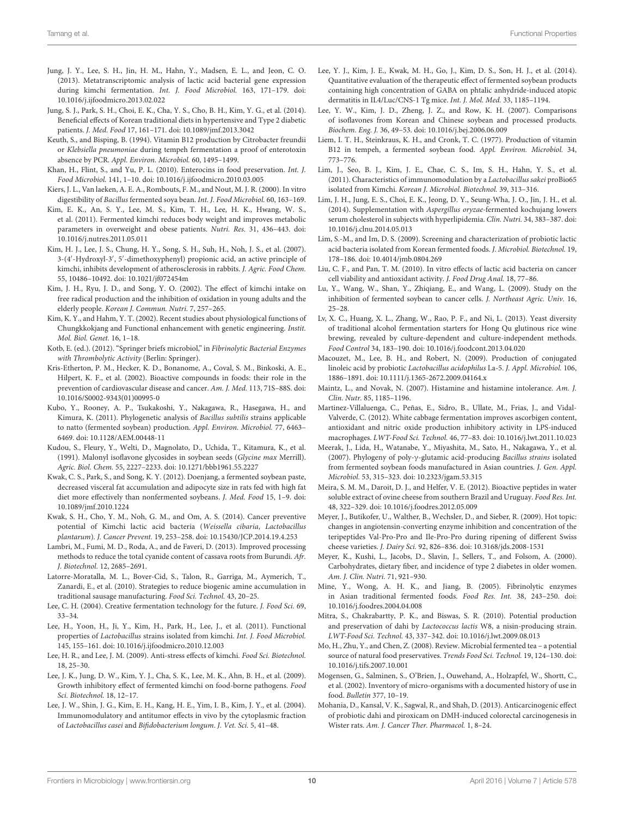- <span id="page-9-26"></span>Jung, J. Y., Lee, S. H., Jin, H. M., Hahn, Y., Madsen, E. L., and Jeon, C. O. (2013). Metatranscriptomic analysis of lactic acid bacterial gene expression during kimchi fermentation. Int. J. Food Microbiol. 163, 171–179. doi: 10.1016/j.ijfoodmicro.2013.02.022
- <span id="page-9-22"></span>Jung, S. J., Park, S. H., Choi, E. K., Cha, Y. S., Cho, B. H., Kim, Y. G., et al. (2014). Beneficial effects of Korean traditional diets in hypertensive and Type 2 diabetic patients. J. Med. Food 17, 161–171. doi: 10.1089/jmf.2013.3042
- <span id="page-9-24"></span>Keuth, S., and Bisping, B. (1994). Vitamin B12 production by Citrobacter freundii or Klebsiella pneumoniae during tempeh fermentation a proof of enterotoxin absence by PCR. Appl. Environ. Microbiol. 60, 1495–1499.
- <span id="page-9-6"></span>Khan, H., Flint, S., and Yu, P. L. (2010). Enterocins in food preservation. Int. J. Food Microbiol. 141, 1–10. doi: 10.1016/j.ijfoodmicro.2010.03.005
- <span id="page-9-27"></span>Kiers, J. L., Van laeken, A. E. A., Rombouts, F. M., and Nout, M. J. R. (2000). In vitro digestibility of Bacillus fermented soya bean. Int. J. Food Microbiol. 60, 163–169.
- <span id="page-9-21"></span>Kim, E. K., An, S. Y., Lee, M. S., Kim, T. H., Lee, H. K., Hwang, W. S., et al. (2011). Fermented kimchi reduces body weight and improves metabolic parameters in overweight and obese patients. Nutri. Res. 31, 436–443. doi: 10.1016/j.nutres.2011.05.011
- <span id="page-9-30"></span>Kim, H. J., Lee, J. S., Chung, H. Y., Song, S. H., Suh, H., Noh, J. S., et al. (2007). 3-(4'-Hydroxyl-3', 5'-dimethoxyphenyl) propionic acid, an active principle of kimchi, inhibits development of atherosclerosis in rabbits. J. Agric. Food Chem. 55, 10486–10492. doi: 10.1021/jf072454m
- <span id="page-9-20"></span>Kim, J. H., Ryu, J. D., and Song, Y. O. (2002). The effect of kimchi intake on free radical production and the inhibition of oxidation in young adults and the elderly people. Korean J. Commun. Nutri. 7, 257–265.
- <span id="page-9-25"></span>Kim, K. Y., and Hahm, Y. T. (2002). Recent studies about physiological functions of Chungkkokjang and Functional enhancement with genetic engineering. Instit. Mol. Biol. Genet. 16, 1–18.
- <span id="page-9-3"></span>Kotb, E. (ed.). (2012). "Springer briefs microbiol," in Fibrinolytic Bacterial Enzymes with Thrombolytic Activity (Berlin: Springer).
- <span id="page-9-36"></span>Kris-Etherton, P. M., Hecker, K. D., Bonanome, A., Coval, S. M., Binkoski, A. E., Hilpert, K. F., et al. (2002). Bioactive compounds in foods: their role in the prevention of cardiovascular disease and cancer. Am. J. Med. 113, 71S–88S. doi: 10.1016/S0002-9343(01)00995-0
- <span id="page-9-0"></span>Kubo, Y., Rooney, A. P., Tsukakoshi, Y., Nakagawa, R., Hasegawa, H., and Kimura, K. (2011). Phylogenetic analysis of Bacillus subtilis strains applicable to natto (fermented soybean) production. Appl. Environ. Microbiol. 77, 6463– 6469. doi: 10.1128/AEM.00448-11
- <span id="page-9-13"></span>Kudou, S., Fleury, Y., Welti, D., Magnolato, D., Uchida, T., Kitamura, K., et al. (1991). Malonyl isoflavone glycosides in soybean seeds (Glycine max Merrill). Agric. Biol. Chem. 55, 2227–2233. doi: 10.1271/bbb1961.55.2227
- <span id="page-9-16"></span>Kwak, C. S., Park, S., and Song, K. Y. (2012). Doenjang, a fermented soybean paste, decreased visceral fat accumulation and adipocyte size in rats fed with high fat diet more effectively than nonfermented soybeans. J. Med. Food 15, 1–9. doi: 10.1089/jmf.2010.1224
- <span id="page-9-28"></span>Kwak, S. H., Cho, Y. M., Noh, G. M., and Om, A. S. (2014). Cancer preventive potential of Kimchi lactic acid bacteria (Weissella cibaria, Lactobacillus plantarum). J. Cancer Prevent. 19, 253–258. doi: 10.15430/JCP.2014.19.4.253
- <span id="page-9-18"></span>Lambri, M., Fumi, M. D., Roda, A., and de Faveri, D. (2013). Improved processing methods to reduce the total cyanide content of cassava roots from Burundi. Afr. J. Biotechnol. 12, 2685–2691.
- <span id="page-9-41"></span>Latorre-Moratalla, M. L., Bover-Cid, S., Talon, R., Garriga, M., Aymerich, T., Zanardi, E., et al. (2010). Strategies to reduce biogenic amine accumulation in traditional sausage manufacturing. Food Sci. Technol. 43, 20–25.
- <span id="page-9-32"></span>Lee, C. H. (2004). Creative fermentation technology for the future. J. Food Sci. 69, 33–34.
- <span id="page-9-19"></span>Lee, H., Yoon, H., Ji, Y., Kim, H., Park, H., Lee, J., et al. (2011). Functional properties of Lactobacillus strains isolated from kimchi. Int. J. Food Microbiol. 145, 155–161. doi: 10.1016/j.ijfoodmicro.2010.12.003
- <span id="page-9-29"></span>Lee, H. R., and Lee, J. M. (2009). Anti-stress effects of kimchi. Food Sci. Biotechnol. 18, 25–30.
- <span id="page-9-7"></span>Lee, J. K., Jung, D. W., Kim, Y. J., Cha, S. K., Lee, M. K., Ahn, B. H., et al. (2009). Growth inhibitory effect of fermented kimchi on food-borne pathogens. Food Sci. Biotechnol. 18, 12–17.
- <span id="page-9-35"></span>Lee, J. W., Shin, J. G., Kim, E. H., Kang, H. E., Yim, I. B., Kim, J. Y., et al. (2004). Immunomodulatory and antitumor effects in vivo by the cytoplasmic fraction of Lactobacillus casei and Bifidobacterium longum. J. Vet. Sci. 5, 41–48.
- <span id="page-9-39"></span>Lee, Y. J., Kim, J. E., Kwak, M. H., Go, J., Kim, D. S., Son, H. J., et al. (2014). Quantitative evaluation of the therapeutic effect of fermented soybean products containing high concentration of GABA on phtalic anhydride-induced atopic dermatitis in IL4/Luc/CNS-1 Tg mice. Int. J. Mol. Med. 33, 1185–1194.
- <span id="page-9-14"></span>Lee, Y. W., Kim, J. D., Zheng, J. Z., and Row, K. H. (2007). Comparisons of isoflavones from Korean and Chinese soybean and processed products. Biochem. Eng. J. 36, 49–53. doi: 10.1016/j.bej.2006.06.009
- <span id="page-9-23"></span>Liem, I. T. H., Steinkraus, K. H., and Cronk, T. C. (1977). Production of vitamin B12 in tempeh, a fermented soybean food. Appl. Environ. Microbiol. 34, 773–776.
- <span id="page-9-38"></span>Lim, J., Seo, B. J., Kim, J. E., Chae, C. S., Im, S. H., Hahn, Y. S., et al. (2011). Characteristics of immunomodulation by a Lactobacillus sakei proBio65 isolated from Kimchi. Korean J. Microbiol. Biotechnol. 39, 313–316.
- <span id="page-9-34"></span>Lim, J. H., Jung, E. S., Choi, E. K., Jeong, D. Y., Seung-Wha, J. O., Jin, J. H., et al. (2014). Supplementation with Aspergillus oryzae-fermented kochujang lowers serum cholesterol in subjects with hyperlipidemia. Clin. Nutri. 34, 383-387. doi: 10.1016/j.clnu.2014.05.013
- <span id="page-9-4"></span>Lim, S.-M., and Im, D. S. (2009). Screening and characterization of probiotic lactic acid bacteria isolated from Korean fermented foods. J. Microbiol. Biotechnol. 19, 178–186. doi: 10.4014/jmb.0804.269
- <span id="page-9-9"></span>Liu, C. F., and Pan, T. M. (2010). In vitro effects of lactic acid bacteria on cancer cell viability and antioxidant activity. J. Food Drug Anal. 18, 77–86.
- <span id="page-9-15"></span>Lu, Y., Wang, W., Shan, Y., Zhiqiang, E., and Wang, L. (2009). Study on the inhibition of fermented soybean to cancer cells. J. Northeast Agric. Univ. 16, 25–28.
- <span id="page-9-1"></span>Lv, X. C., Huang, X. L., Zhang, W., Rao, P. F., and Ni, L. (2013). Yeast diversity of traditional alcohol fermentation starters for Hong Qu glutinous rice wine brewing, revealed by culture-dependent and culture-independent methods. Food Control 34, 183–190. doi: 10.1016/j.foodcont.2013.04.020
- <span id="page-9-5"></span>Macouzet, M., Lee, B. H., and Robert, N. (2009). Production of conjugated linoleic acid by probiotic Lactobacillus acidophilus La-5. J. Appl. Microbiol. 106, 1886–1891. doi: 10.1111/j.1365-2672.2009.04164.x
- <span id="page-9-42"></span>Maintz, L., and Novak, N. (2007). Histamine and histamine intolerance. Am. J. Clin. Nutr. 85, 1185–1196.
- <span id="page-9-31"></span>Martinez-Villaluenga, C., Peñas, E., Sidro, B., Ullate, M., Frias, J., and Vidal-Valverde, C. (2012). White cabbage fermentation improves ascorbigen content, antioxidant and nitric oxide production inhibitory activity in LPS-induced macrophages. LWT-Food Sci. Technol. 46, 77–83. doi: 10.1016/j.lwt.2011.10.023
- <span id="page-9-17"></span>Meerak, J., Lida, H., Watanabe, Y., Miyashita, M., Sato, H., Nakagawa, Y., et al. (2007). Phylogeny of poly-γ-glutamic acid-producing Bacillus strains isolated from fermented soybean foods manufactured in Asian countries. J. Gen. Appl. Microbiol. 53, 315–323. doi: 10.2323/jgam.53.315
- <span id="page-9-2"></span>Meira, S. M. M., Daroit, D. J., and Helfer, V. E. (2012). Bioactive peptides in water soluble extract of ovine cheese from southern Brazil and Uruguay. Food Res. Int. 48, 322–329. doi: 10.1016/j.foodres.2012.05.009
- <span id="page-9-11"></span>Meyer, J., Butikofer, U., Walther, B., Wechsler, D., and Sieber, R. (2009). Hot topic: changes in angiotensin-converting enzyme inhibition and concentration of the teripeptides Val-Pro-Pro and Ile-Pro-Pro during ripening of different Swiss cheese varieties. J. Dairy Sci. 92, 826–836. doi: 10.3168/jds.2008-1531
- <span id="page-9-40"></span>Meyer, K., Kushi, L., Jacobs, D., Slavin, J., Sellers, T., and Folsom, A. (2000). Carbohydrates, dietary fiber, and incidence of type 2 diabetes in older women. Am. J. Clin. Nutri. 71, 921–930.
- <span id="page-9-12"></span>Mine, Y., Wong, A. H. K., and Jiang, B. (2005). Fibrinolytic enzymes in Asian traditional fermented foods. Food Res. Int. 38, 243–250. doi: 10.1016/j.foodres.2004.04.008
- <span id="page-9-8"></span>Mitra, S., Chakrabartty, P. K., and Biswas, S. R. (2010). Potential production and preservation of dahi by Lactococcus lactis W8, a nisin-producing strain. LWT-Food Sci. Technol. 43, 337–342. doi: 10.1016/j.lwt.2009.08.013
- <span id="page-9-33"></span>Mo, H., Zhu, Y., and Chen, Z. (2008). Review. Microbial fermented tea – a potential source of natural food preservatives. Trends Food Sci. Technol. 19, 124–130. doi: 10.1016/j.tifs.2007.10.001
- <span id="page-9-10"></span>Mogensen, G., Salminen, S., O'Brien, J., Ouwehand, A., Holzapfel, W., Shortt, C., et al. (2002). Inventory of micro-organisms with a documented history of use in food. Bulletin 377, 10–19.
- <span id="page-9-37"></span>Mohania, D., Kansal, V. K., Sagwal, R., and Shah, D. (2013). Anticarcinogenic effect of probiotic dahi and piroxicam on DMH-induced colorectal carcinogenesis in Wister rats. Am. J. Cancer Ther. Pharmacol. 1, 8–24.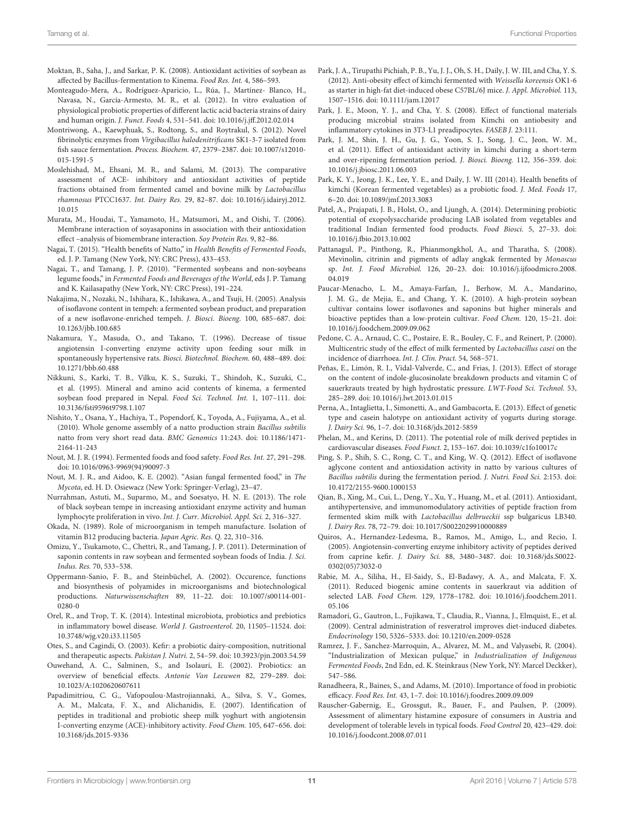<span id="page-10-6"></span>Moktan, B., Saha, J., and Sarkar, P. K. (2008). Antioxidant activities of soybean as affected by Bacillus-fermentation to Kinema. Food Res. Int. 4, 586-593.

- <span id="page-10-1"></span>Monteagudo-Mera, A., Rodríguez-Aparicio, L., Rúa, J., Martínez- Blanco, H., Navasa, N., García-Armesto, M. R., et al. (2012). In vitro evaluation of physiological probiotic properties of different lactic acid bacteria strains of dairy and human origin. J. Funct. Foods 4, 531–541. doi: 10.1016/j.jff.2012.02.014
- <span id="page-10-16"></span>Montriwong, A., Kaewphuak, S., Rodtong, S., and Roytrakul, S. (2012). Novel fibrinolytic enzymes from Virgibacillus halodenitrificans SK1-3-7 isolated from fish sauce fermentation. Process. Biochem. 47, 2379–2387. doi: 10.1007/s12010- 015-1591-5
- <span id="page-10-14"></span>Moslehishad, M., Ehsani, M. R., and Salami, M. (2013). The comparative assessment of ACE- inhibitory and antioxidant activities of peptide fractions obtained from fermented camel and bovine milk by Lactobacillus rhamnosus PTCC1637. Int. Dairy Res. 29, 82–87. doi: 10.1016/j.idairyj.2012. 10.015
- <span id="page-10-19"></span>Murata, M., Houdai, T., Yamamoto, H., Matsumori, M., and Oishi, T. (2006). Membrane interaction of soyasaponins in association with their antioxidation effect –analysis of biomembrane interaction. Soy Protein Res. 9, 82–86.
- <span id="page-10-25"></span>Nagai, T. (2015). "Health benefits of Natto," in Health Benefits of Fermented Foods, ed. J. P. Tamang (New York, NY: CRC Press), 433–453.
- <span id="page-10-11"></span>Nagai, T., and Tamang, J. P. (2010). "Fermented soybeans and non-soybeans legume foods," in Fermented Foods and Beverages of the World, eds J. P. Tamang and K. Kailasapathy (New York, NY: CRC Press), 191–224.
- <span id="page-10-17"></span>Nakajima, N., Nozaki, N., Ishihara, K., Ishikawa, A., and Tsuji, H. (2005). Analysis of isoflavone content in tempeh: a fermented soybean product, and preparation of a new isoflavone-enriched tempeh. J. Biosci. Bioeng. 100, 685–687. doi: 10.1263/jbb.100.685
- <span id="page-10-34"></span>Nakamura, Y., Masuda, O., and Takano, T. (1996). Decrease of tissue angiotensin I-converting enzyme activity upon feeding sour milk in spontaneously hypertensive rats. Biosci. Biotechnol. Biochem. 60, 488–489. doi: 10.1271/bbb.60.488
- <span id="page-10-30"></span>Nikkuni, S., Karki, T. B., Vilku, K. S., Suzuki, T., Shindoh, K., Suzuki, C., et al. (1995). Mineral and amino acid contents of kinema, a fermented soybean food prepared in Nepal. Food Sci. Technol. Int. 1, 107–111. doi: 10.3136/fsti9596t9798.1.107
- <span id="page-10-22"></span>Nishito, Y., Osana, Y., Hachiya, T., Popendorf, K., Toyoda, A., Fujiyama, A., et al. (2010). Whole genome assembly of a natto production strain Bacillus subtilis natto from very short read data. BMC Genomics 11:243. doi: 10.1186/1471- 2164-11-243
- <span id="page-10-23"></span>Nout, M. J. R. (1994). Fermented foods and food safety. Food Res. Int. 27, 291–298. doi: 10.1016/0963-9969(94)90097-3
- <span id="page-10-15"></span>Nout, M. J. R., and Aidoo, K. E. (2002). "Asian fungal fermented food," in The Mycota, ed. H. D. Osiewacz (New York: Springer-Verlag), 23–47.
- <span id="page-10-7"></span>Nurrahman, Astuti, M., Suparmo, M., and Soesatyo, H. N. E. (2013). The role of black soybean tempe in increasing antioxidant enzyme activity and human lymphocyte proliferation in vivo. Int. J. Curr. Microbiol. Appl. Sci. 2, 316–327.
- <span id="page-10-28"></span>Okada, N. (1989). Role of microorganism in tempeh manufacture. Isolation of vitamin B12 producing bacteria. Japan Agric. Res. Q. 22, 310–316.
- <span id="page-10-20"></span>Omizu, Y., Tsukamoto, C., Chettri, R., and Tamang, J. P. (2011). Determination of saponin contents in raw soybean and fermented soybean foods of India. J. Sci. Indus. Res. 70, 533–538.
- <span id="page-10-21"></span>Oppermann-Sanio, F. B., and Steinbüchel, A. (2002). Occurence, functions and biosynthesis of polyamides in microorganisms and biotechnological productions. Naturwissenschaften 89, 11–22. doi: 10.1007/s00114-001- 0280-0
- <span id="page-10-36"></span>Orel, R., and Trop, T. K. (2014). Intestinal microbiota, probiotics and prebiotics in inflammatory bowel disease. World J. Gastroenterol. 20, 11505–11524. doi: 10.3748/wjg.v20.i33.11505
- <span id="page-10-33"></span>Otes, S., and Cagindi, O. (2003). Kefir: a probiotic dairy-composition, nutritional and therapeutic aspects. Pakistan J. Nutri. 2, 54–59. doi: 10.3923/pjn.2003.54.59
- <span id="page-10-2"></span>Ouwehand, A. C., Salminen, S., and Isolauri, E. (2002). Probiotics: an overview of beneficial effects. Antonie Van Leeuwen 82, 279–289. doi: 10.1023/A:1020620607611
- <span id="page-10-13"></span>Papadimitriou, C. G., Vafopoulou-Mastrojiannaki, A., Silva, S. V., Gomes, A. M., Malcata, F. X., and Alichanidis, E. (2007). Identification of peptides in traditional and probiotic sheep milk yoghurt with angiotensin I-converting enzyme (ACE)-inhibitory activity. Food Chem. 105, 647–656. doi: 10.3168/jds.2015-9336
- <span id="page-10-27"></span>Park, J. A., Tirupathi Pichiah, P. B., Yu, J. J., Oh, S. H., Daily, J. W. III, and Cha, Y. S. (2012). Anti-obesity effect of kimchi fermented with Weissella koreensis OK1-6 as starter in high-fat diet-induced obese C57BL/6J mice. J. Appl. Microbiol. 113, 1507–1516. doi: 10.1111/jam.12017
- <span id="page-10-26"></span>Park, J. E., Moon, Y. J., and Cha, Y. S. (2008). Effect of functional materials producing microbial strains isolated from Kimchi on antiobesity and inflammatory cytokines in 3T3-L1 preadipocytes. FASEB J. 23:111.
- <span id="page-10-8"></span>Park, J. M., Shin, J. H., Gu, J. G., Yoon, S. J., Song, J. C., Jeon, W. M., et al. (2011). Effect of antioxidant activity in kimchi during a short-term and over-ripening fermentation period. J. Biosci. Bioeng. 112, 356–359. doi: 10.1016/j.jbiosc.2011.06.003
- <span id="page-10-24"></span>Park, K. Y., Jeong, J. K., Lee, Y. E., and Daily, J. W. III (2014). Health benefits of kimchi (Korean fermented vegetables) as a probiotic food. J. Med. Foods 17, 6–20. doi: 10.1089/jmf.2013.3083
- <span id="page-10-4"></span>Patel, A., Prajapati, J. B., Holst, O., and Ljungh, A. (2014). Determining probiotic potential of exopolysaccharide producing LAB isolated from vegetables and traditional Indian fermented food products. Food Biosci. 5, 27–33. doi: 10.1016/j.fbio.2013.10.002
- <span id="page-10-35"></span>Pattanagul, P., Pinthong, R., Phianmongkhol, A., and Tharatha, S. (2008). Mevinolin, citrinin and pigments of adlay angkak fermented by Monascus sp. Int. J. Food Microbiol. 126, 20–23. doi: 10.1016/j.ijfoodmicro.2008. 04.019
- <span id="page-10-18"></span>Paucar-Menacho, L. M., Amaya-Farfan, J., Berhow, M. A., Mandarino, J. M. G., de Mejia, E., and Chang, Y. K. (2010). A high-protein soybean cultivar contains lower isoflavones and saponins but higher minerals and bioactive peptides than a low-protein cultivar. Food Chem. 120, 15–21. doi: 10.1016/j.foodchem.2009.09.062
- <span id="page-10-37"></span>Pedone, C. A., Arnaud, C. C., Postaire, E. R., Bouley, C. F., and Reinert, P. (2000). Multicentric study of the effect of milk fermented by Lactobacillus casei on the incidence of diarrhoea. Int. J. Clin. Pract. 54, 568–571.
- <span id="page-10-31"></span>Peñas, E., Limón, R. I., Vidal-Valverde, C., and Frias, J. (2013). Effect of storage on the content of indole-glucosinolate breakdown products and vitamin C of sauerkrauts treated by high hydrostatic pressure. LWT-Food Sci. Technol. 53, 285–289. doi: 10.1016/j.lwt.2013.01.015
- <span id="page-10-0"></span>Perna, A., Intaglietta, I., Simonetti, A., and Gambacorta, E. (2013). Effect of genetic type and casein halotype on antioxidant activity of yogurts during storage. J. Dairy Sci. 96, 1–7. doi: 10.3168/jds.2012-5859
- <span id="page-10-10"></span>Phelan, M., and Kerins, D. (2011). The potential role of milk derived peptides in cardiovascular diseases. Food Funct. 2, 153–167. doi: 10.1039/c1fo10017c
- <span id="page-10-5"></span>Ping, S. P., Shih, S. C., Rong, C. T., and King, W. Q. (2012). Effect of isoflavone aglycone content and antioxidation activity in natto by various cultures of Bacillus subtilis during the fermentation period. J. Nutri. Food Sci. 2:153. doi: 10.4172/2155-9600.1000153
- <span id="page-10-9"></span>Qian, B., Xing, M., Cui, L., Deng, Y., Xu, Y., Huang, M., et al. (2011). Antioxidant, antihypertensive, and immunomodulatory activities of peptide fraction from fermented skim milk with Lactobacillus delbrueckii ssp bulgaricus LB340. J. Dairy Res. 78, 72–79. doi: 10.1017/S0022029910000889
- <span id="page-10-12"></span>Quiros, A., Hernandez-Ledesma, B., Ramos, M., Amigo, L., and Recio, I. (2005). Angiotensin-converting enzyme inhibitory activity of peptides derived from caprine kefir. J. Dairy Sci. 88, 3480–3487. doi: 10.3168/jds.S0022- 0302(05)73032-0
- <span id="page-10-39"></span>Rabie, M. A., Siliha, H., El-Saidy, S., El-Badawy, A. A., and Malcata, F. X. (2011). Reduced biogenic amine contents in sauerkraut via addition of selected LAB. Food Chem. 129, 1778–1782. doi: 10.1016/j.foodchem.2011. 05.106
- <span id="page-10-32"></span>Ramadori, G., Gautron, L., Fujikawa, T., Claudia, R., Vianna, J., Elmquist, E., et al. (2009). Central administration of resveratrol improves diet-induced diabetes. Endocrinology 150, 5326–5333. doi: 10.1210/en.2009-0528
- <span id="page-10-29"></span>Ramrez, J. F., Sanchez-Marroquin, A., Alvarez, M. M., and Valyasebi, R. (2004). "Industrialization of Mexican pulque," in Industrialization of Indigenous Fermented Foods, 2nd Edn, ed. K. Steinkraus (New York, NY: Marcel Deckker), 547–586.
- <span id="page-10-3"></span>Ranadheera, R., Baines, S., and Adams, M. (2010). Importance of food in probiotic efficacy. Food Res. Int. 43, 1–7. doi: 10.1016/j.foodres.2009.09.009
- <span id="page-10-38"></span>Rauscher-Gabernig, E., Grossgut, R., Bauer, F., and Paulsen, P. (2009). Assessment of alimentary histamine exposure of consumers in Austria and development of tolerable levels in typical foods. Food Control 20, 423–429. doi: 10.1016/j.foodcont.2008.07.011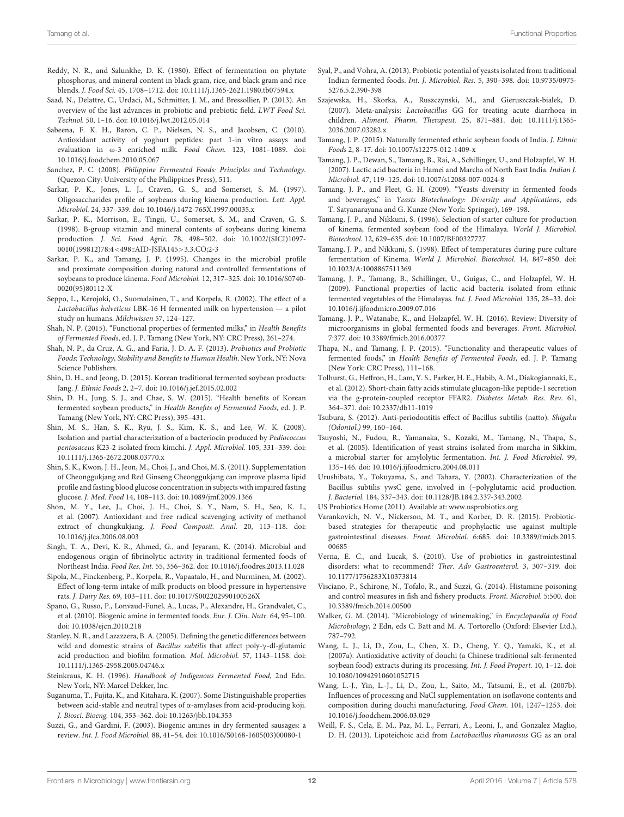- <span id="page-11-24"></span>Reddy, N. R., and Salunkhe, D. K. (1980). Effect of fermentation on phytate phosphorus, and mineral content in black gram, rice, and black gram and rice blends. J. Food Sci. 45, 1708–1712. doi: 10.1111/j.1365-2621.1980.tb07594.x
- <span id="page-11-5"></span>Saad, N., Delattre, C., Urdaci, M., Schmitter, J. M., and Bressollier, P. (2013). An overview of the last advances in probiotic and prebiotic field. LWT Food Sci. Technol. 50, 1–16. doi: 10.1016/j.lwt.2012.05.014
- <span id="page-11-13"></span>Sabeena, F. K. H., Baron, C. P., Nielsen, N. S., and Jacobsen, C. (2010). Antioxidant activity of yoghurt peptides: part 1-in vitro assays and evaluation in ω-3 enriched milk. Food Chem. 123, 1081–1089. doi: 10.1016/j.foodchem.2010.05.067
- <span id="page-11-22"></span>Sanchez, P. C. (2008). Philippine Fermented Foods: Principles and Technology. (Quezon City: University of the Philippines Press), 511.
- <span id="page-11-23"></span>Sarkar, P. K., Jones, L. J., Craven, G. S., and Somerset, S. M. (1997). Oligosaccharides profile of soybeans during kinema production. Lett. Appl. Microbiol. 24, 337–339. doi: 10.1046/j.1472-765X.1997.00035.x
- <span id="page-11-28"></span>Sarkar, P. K., Morrison, E., Tingii, U., Somerset, S. M., and Craven, G. S. (1998). B-group vitamin and mineral contents of soybeans during kinema production. J. Sci. Food Agric. 78, 498–502. doi: 10.1002/(SICI)1097- 0010(199812)78:4<498::AID-JSFA145>3.3.CO;2-3
- <span id="page-11-30"></span>Sarkar, P. K., and Tamang, J. P. (1995). Changes in the microbial profile and proximate composition during natural and controlled fermentations of soybeans to produce kinema. Food Microbiol. 12, 317–325. doi: 10.1016/S0740- 0020(95)80112-X
- <span id="page-11-32"></span>Seppo, L., Kerojoki, O., Suomalainen, T., and Korpela, R. (2002). The effect of a Lactobacillus helveticus LBK-16 H fermented milk on hypertension — a pilot study on humans. Milchwissen 57, 124–127.
- <span id="page-11-8"></span>Shah, N. P. (2015). "Functional properties of fermented milks," in Health Benefits of Fermented Foods, ed. J. P. Tamang (New York, NY: CRC Press), 261–274.
- <span id="page-11-40"></span>Shah, N. P., da Cruz, A. G., and Faria, J. D. A. F. (2013). Probiotics and Probiotic Foods: Technology, Stability and Benefits to Human Health. New York, NY: Nova Science Publishers.
- <span id="page-11-11"></span>Shin, D. H., and Jeong, D. (2015). Korean traditional fermented soybean products: Jang. J. Ethnic Foods 2, 2–7. doi: 10.1016/j.jef.2015.02.002
- <span id="page-11-35"></span>Shin, D. H., Jung, S. J., and Chae, S. W. (2015). "Health benefits of Korean fermented soybean products," in Health Benefits of Fermented Foods, ed. J. P. Tamang (New York, NY: CRC Press), 395–431.
- <span id="page-11-9"></span>Shin, M. S., Han, S. K., Ryu, J. S., Kim, K. S., and Lee, W. K. (2008). Isolation and partial characterization of a bacteriocin produced by Pediococcus pentosaceus K23-2 isolated from kimchi. J. Appl. Microbiol. 105, 331–339. doi: 10.1111/j.1365-2672.2008.03770.x
- <span id="page-11-38"></span>Shin, S. K., Kwon, J. H., Jeon, M., Choi, J., and Choi, M. S. (2011). Supplementation of Cheonggukjang and Red Ginseng Cheonggukjang can improve plasma lipid profile and fasting blood glucose concentration in subjects with impaired fasting glucose. J. Med. Food 14, 108–113. doi: 10.1089/jmf.2009.1366
- <span id="page-11-10"></span>Shon, M. Y., Lee, J., Choi, J. H., Choi, S. Y., Nam, S. H., Seo, K. I., et al. (2007). Antioxidant and free radical scavenging activity of methanol extract of chungkukjang. J. Food Composit. Anal. 20, 113–118. doi: 10.1016/j.jfca.2006.08.003
- <span id="page-11-14"></span>Singh, T. A., Devi, K. R., Ahmed, G., and Jeyaram, K. (2014). Microbial and endogenous origin of fibrinolytic activity in traditional fermented foods of Northeast India. Food Res. Int. 55, 356–362. doi: 10.1016/j.foodres.2013.11.028
- <span id="page-11-33"></span>Sipola, M., Finckenberg, P., Korpela, R., Vapaatalo, H., and Nurminen, M. (2002). Effect of long-term intake of milk products on blood pressure in hypertensive rats. J. Dairy Res. 69, 103–111. doi: 10.1017/S002202990100526X
- <span id="page-11-42"></span>Spano, G., Russo, P., Lonvaud-Funel, A., Lucas, P., Alexandre, H., Grandvalet, C., et al. (2010). Biogenic amine in fermented foods. Eur. J. Clin. Nutr. 64, 95–100. doi: 10.1038/ejcn.2010.218
- <span id="page-11-21"></span>Stanley, N. R., and Lazazzera, B. A. (2005). Defining the genetic differences between wild and domestic strains of Bacillus subtilis that affect poly-γ-dl-glutamic acid production and biofilm formation. Mol. Microbiol. 57, 1143–1158. doi: 10.1111/j.1365-2958.2005.04746.x
- <span id="page-11-27"></span>Steinkraus, K. H. (1996). Handbook of Indigenous Fermented Food, 2nd Edn. New York, NY: Marcel Dekker, Inc.
- <span id="page-11-16"></span>Suganuma, T., Fujita, K., and Kitahara, K. (2007). Some Distinguishable properties between acid-stable and neutral types of α-amylases from acid-producing koji. J. Biosci. Bioeng. 104, 353–362. doi: 10.1263/jbb.104.353
- <span id="page-11-41"></span>Suzzi, G., and Gardini, F. (2003). Biogenic amines in dry fermented sausages: a review. Int. J. Food Microbiol. 88, 41–54. doi: 10.1016/S0168-1605(03)00080-1
- <span id="page-11-29"></span>Syal, P., and Vohra, A. (2013). Probiotic potential of yeasts isolated from traditional Indian fermented foods. Int. J. Microbiol. Res. 5, 390–398. doi: 10.9735/0975- 5276.5.2.390-398
- <span id="page-11-37"></span>Szajewska, H., Skorka, A., Ruszczynski, M., and Gieruszczak-bialek, D. (2007). Meta-analysis: Lactobacillus GG for treating acute diarrhoea in children. Aliment. Pharm. Therapeut. 25, 871–881. doi: 10.1111/j.1365- 2036.2007.03282.x
- <span id="page-11-3"></span>Tamang, J. P. (2015). Naturally fermented ethnic soybean foods of India. J. Ethnic Foods 2, 8–17. doi: 10.1007/s12275-012-1409-x
- <span id="page-11-18"></span>Tamang, J. P., Dewan, S., Tamang, B., Rai, A., Schillinger, U., and Holzapfel, W. H. (2007). Lactic acid bacteria in Hamei and Marcha of North East India. Indian J. Microbiol. 47, 119–125. doi: 10.1007/s12088-007-0024-8
- <span id="page-11-4"></span>Tamang, J. P., and Fleet, G. H. (2009). "Yeasts diversity in fermented foods and beverages," in Yeasts Biotechnology: Diversity and Applications, eds T. Satyanarayana and G. Kunze (New York: Springer), 169–198.
- <span id="page-11-15"></span>Tamang, J. P., and Nikkuni, S. (1996). Selection of starter culture for production of kinema, fermented soybean food of the Himalaya. World J. Microbiol. Biotechnol. 12, 629–635. doi: 10.1007/BF00327727
- <span id="page-11-31"></span>Tamang, J. P., and Nikkuni, S. (1998). Effect of temperatures during pure culture fermentation of Kinema. World J. Microbiol. Biotechnol. 14, 847–850. doi: 10.1023/A:1008867511369
- <span id="page-11-1"></span>Tamang, J. P., Tamang, B., Schillinger, U., Guigas, C., and Holzapfel, W. H. (2009). Functional properties of lactic acid bacteria isolated from ethnic fermented vegetables of the Himalayas. Int. J. Food Microbiol. 135, 28–33. doi: 10.1016/j.ijfoodmicro.2009.07.016
- <span id="page-11-0"></span>Tamang, J. P., Watanabe, K., and Holzapfel, W. H. (2016). Review: Diversity of microorganisms in global fermented foods and beverages. Front. Microbiol. 7:377. doi: 10.3389/fmicb.2016.00377
- <span id="page-11-2"></span>Thapa, N., and Tamang, J. P. (2015). "Functionality and therapeutic values of fermented foods," in Health Benefits of Fermented Foods, ed. J. P. Tamang (New York: CRC Press), 111–168.
- <span id="page-11-39"></span>Tolhurst, G., Heffron, H., Lam, Y. S., Parker, H. E., Habib, A. M., Diakogiannaki, E., et al. (2012). Short-chain fatty acids stimulate glucagon-like peptide-1 secretion via the g-protein-coupled receptor FFAR2. Diabetes Metab. Res. Rev. 61, 364–371. doi: 10.2337/db11-1019
- <span id="page-11-25"></span>Tsubura, S. (2012). Anti-periodontitis effect of Bacillus subtilis (natto). Shigaku (Odontol.) 99, 160–164.
- <span id="page-11-17"></span>Tsuyoshi, N., Fudou, R., Yamanaka, S., Kozaki, M., Tamang, N., Thapa, S., et al. (2005). Identification of yeast strains isolated from marcha in Sikkim, a microbial starter for amylolytic fermentation. Int. J. Food Microbiol. 99, 135–146. doi: 10.1016/j.ijfoodmicro.2004.08.011
- <span id="page-11-20"></span>Urushibata, Y., Tokuyama, S., and Tahara, Y. (2002). Characterization of the Bacillus subtilis ywsC gene, involved in (–polyglutamic acid production. J. Bacteriol. 184, 337–343. doi: 10.1128/JB.184.2.337-343.2002
- <span id="page-11-6"></span>US Probiotics Home (2011). Available at: <www.usprobiotics.org>
- <span id="page-11-7"></span>Varankovich, N. V., Nickerson, M. T., and Korber, D. R. (2015). Probioticbased strategies for therapeutic and prophylactic use against multiple gastrointestinal diseases. Front. Microbiol. 6:685. doi: 10.3389/fmicb.2015. 00685
- <span id="page-11-36"></span>Verna, E. C., and Lucak, S. (2010). Use of probiotics in gastrointestinal disorders: what to recommend? Ther. Adv Gastroenterol. 3, 307–319. doi: 10.1177/1756283X10373814
- <span id="page-11-43"></span>Visciano, P., Schirone, N., Tofalo, R., and Suzzi, G. (2014). Histamine poisoning and control measures in fish and fishery products. Front. Microbiol. 5:500. doi: 10.3389/fmicb.2014.00500
- <span id="page-11-26"></span>Walker, G. M. (2014). "Microbiology of winemaking," in Encyclopaedia of Food Microbiology, 2 Edn, eds C. Batt and M. A. Tortorello (Oxford: Elsevier Ltd.), 787–792.
- <span id="page-11-12"></span>Wang, L. J., Li, D., Zou, L., Chen, X. D., Cheng, Y. Q., Yamaki, K., et al. (2007a). Antioxidative activity of douchi (a Chinese traditional salt-fermented soybean food) extracts during its processing. Int. J. Food Propert. 10, 1–12. doi: 10.1080/10942910601052715
- <span id="page-11-19"></span>Wang, L.-J., Yin, L.-J., Li, D., Zou, L., Saito, M., Tatsumi, E., et al. (2007b). Influences of processing and NaCl supplementation on isoflavone contents and composition during douchi manufacturing. Food Chem. 101, 1247–1253. doi: 10.1016/j.foodchem.2006.03.029
- <span id="page-11-34"></span>Weill, F. S., Cela, E. M., Paz, M. L., Ferrari, A., Leoni, J., and Gonzalez Maglio, D. H. (2013). Lipoteichoic acid from Lactobacillus rhamnosus GG as an oral